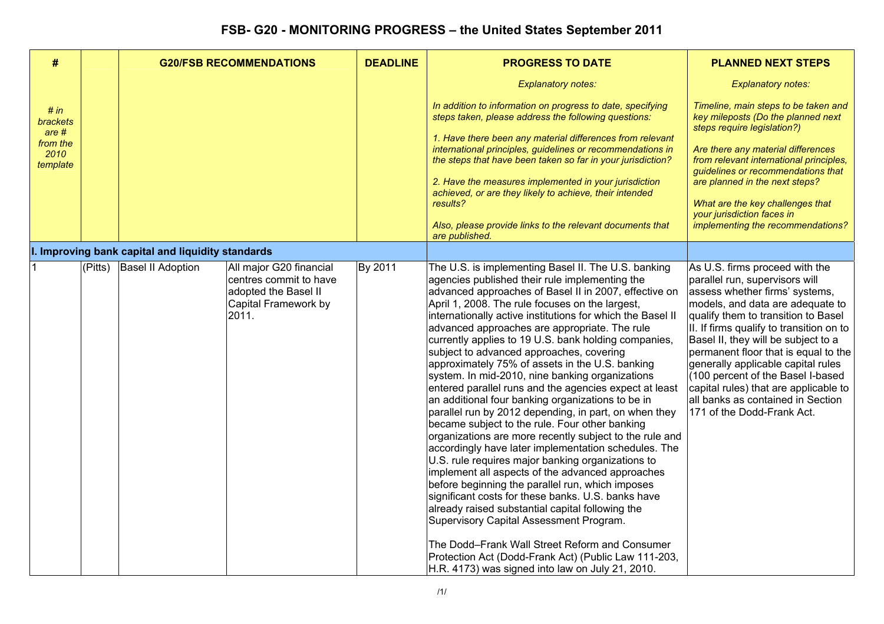| #                                                                |             | <b>G20/FSB RECOMMENDATIONS</b>                    |                                                                                                            | <b>DEADLINE</b> | <b>PROGRESS TO DATE</b>                                                                                                                                                                                                                                                                                                                                                                                                                                                                                                                                                                                                                                                                                                                                                                                                                                                                                                                                                                                                                                                                                                                                                                                                                                                                                                                                                 | <b>PLANNED NEXT STEPS</b>                                                                                                                                                                                                                                                                                                                                                                                                                                                                       |
|------------------------------------------------------------------|-------------|---------------------------------------------------|------------------------------------------------------------------------------------------------------------|-----------------|-------------------------------------------------------------------------------------------------------------------------------------------------------------------------------------------------------------------------------------------------------------------------------------------------------------------------------------------------------------------------------------------------------------------------------------------------------------------------------------------------------------------------------------------------------------------------------------------------------------------------------------------------------------------------------------------------------------------------------------------------------------------------------------------------------------------------------------------------------------------------------------------------------------------------------------------------------------------------------------------------------------------------------------------------------------------------------------------------------------------------------------------------------------------------------------------------------------------------------------------------------------------------------------------------------------------------------------------------------------------------|-------------------------------------------------------------------------------------------------------------------------------------------------------------------------------------------------------------------------------------------------------------------------------------------------------------------------------------------------------------------------------------------------------------------------------------------------------------------------------------------------|
|                                                                  |             |                                                   |                                                                                                            |                 | <b>Explanatory notes:</b>                                                                                                                                                                                                                                                                                                                                                                                                                                                                                                                                                                                                                                                                                                                                                                                                                                                                                                                                                                                                                                                                                                                                                                                                                                                                                                                                               | <b>Explanatory notes:</b>                                                                                                                                                                                                                                                                                                                                                                                                                                                                       |
| # in<br><b>brackets</b><br>are #<br>from the<br>2010<br>template |             |                                                   |                                                                                                            |                 | In addition to information on progress to date, specifying<br>steps taken, please address the following questions:<br>1. Have there been any material differences from relevant<br>international principles, guidelines or recommendations in<br>the steps that have been taken so far in your jurisdiction?<br>2. Have the measures implemented in your jurisdiction<br>achieved, or are they likely to achieve, their intended<br>results?<br>Also, please provide links to the relevant documents that<br>are published.                                                                                                                                                                                                                                                                                                                                                                                                                                                                                                                                                                                                                                                                                                                                                                                                                                             | Timeline, main steps to be taken and<br>key mileposts (Do the planned next<br>steps require legislation?)<br>Are there any material differences<br>from relevant international principles,<br>guidelines or recommendations that<br>are planned in the next steps?<br>What are the key challenges that<br>your jurisdiction faces in<br>implementing the recommendations?                                                                                                                       |
|                                                                  |             | I. Improving bank capital and liquidity standards |                                                                                                            |                 |                                                                                                                                                                                                                                                                                                                                                                                                                                                                                                                                                                                                                                                                                                                                                                                                                                                                                                                                                                                                                                                                                                                                                                                                                                                                                                                                                                         |                                                                                                                                                                                                                                                                                                                                                                                                                                                                                                 |
|                                                                  | $ $ (Pitts) | <b>Basel II Adoption</b>                          | All major G20 financial<br>centres commit to have<br>adopted the Basel II<br>Capital Framework by<br>2011. | By 2011         | The U.S. is implementing Basel II. The U.S. banking<br>agencies published their rule implementing the<br>advanced approaches of Basel II in 2007, effective on<br>April 1, 2008. The rule focuses on the largest,<br>internationally active institutions for which the Basel II<br>advanced approaches are appropriate. The rule<br>currently applies to 19 U.S. bank holding companies,<br>subject to advanced approaches, covering<br>approximately 75% of assets in the U.S. banking<br>system. In mid-2010, nine banking organizations<br>entered parallel runs and the agencies expect at least<br>an additional four banking organizations to be in<br>parallel run by 2012 depending, in part, on when they<br>became subject to the rule. Four other banking<br>organizations are more recently subject to the rule and<br>accordingly have later implementation schedules. The<br>U.S. rule requires major banking organizations to<br>implement all aspects of the advanced approaches<br>before beginning the parallel run, which imposes<br>significant costs for these banks. U.S. banks have<br>already raised substantial capital following the<br>Supervisory Capital Assessment Program.<br>The Dodd-Frank Wall Street Reform and Consumer<br>Protection Act (Dodd-Frank Act) (Public Law 111-203,<br>H.R. 4173) was signed into law on July 21, 2010. | As U.S. firms proceed with the<br>parallel run, supervisors will<br>assess whether firms' systems,<br>models, and data are adequate to<br>qualify them to transition to Basel<br>II. If firms qualify to transition on to<br>Basel II, they will be subject to a<br>permanent floor that is equal to the<br>generally applicable capital rules<br>(100 percent of the Basel I-based<br>capital rules) that are applicable to<br>all banks as contained in Section<br>171 of the Dodd-Frank Act. |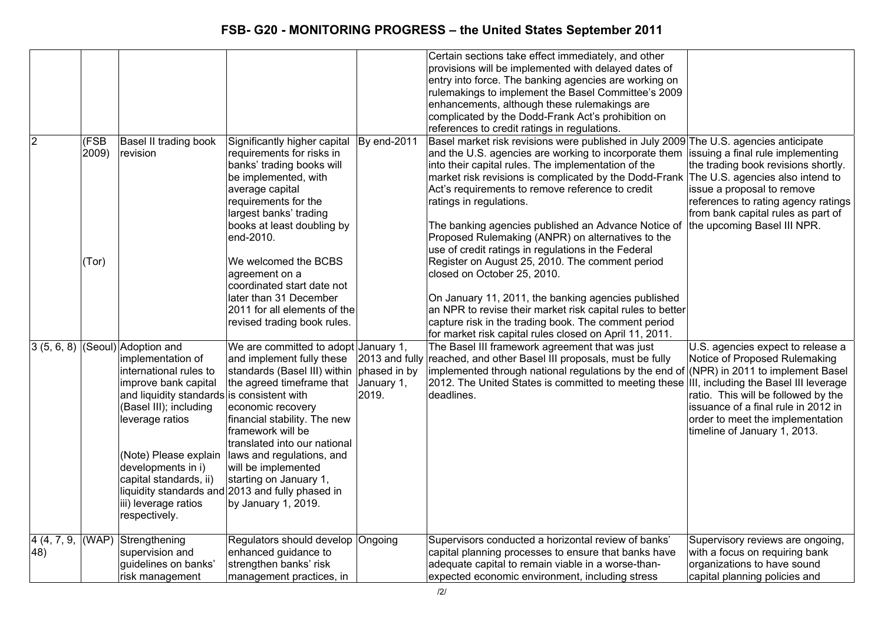|                                 |                        |                                                                                                                                                                                                                                                                                               |                                                                                                                                                                                                                                                                                                                                                                                                                           |                                     | Certain sections take effect immediately, and other<br>provisions will be implemented with delayed dates of<br>entry into force. The banking agencies are working on<br>rulemakings to implement the Basel Committee's 2009<br>enhancements, although these rulemakings are<br>complicated by the Dodd-Frank Act's prohibition on<br>references to credit ratings in regulations.                                                                                                                                                                                                                                                                                                                                                                                                                                                                                             |                                                                                                                                                                                                                      |
|---------------------------------|------------------------|-----------------------------------------------------------------------------------------------------------------------------------------------------------------------------------------------------------------------------------------------------------------------------------------------|---------------------------------------------------------------------------------------------------------------------------------------------------------------------------------------------------------------------------------------------------------------------------------------------------------------------------------------------------------------------------------------------------------------------------|-------------------------------------|-------------------------------------------------------------------------------------------------------------------------------------------------------------------------------------------------------------------------------------------------------------------------------------------------------------------------------------------------------------------------------------------------------------------------------------------------------------------------------------------------------------------------------------------------------------------------------------------------------------------------------------------------------------------------------------------------------------------------------------------------------------------------------------------------------------------------------------------------------------------------------|----------------------------------------------------------------------------------------------------------------------------------------------------------------------------------------------------------------------|
| $\overline{2}$                  | (FSB<br>2009)<br>(Tor) | Basel II trading book<br>revision                                                                                                                                                                                                                                                             | Significantly higher capital<br>requirements for risks in<br>banks' trading books will<br>be implemented, with<br>average capital<br>requirements for the<br>largest banks' trading<br>books at least doubling by<br>end-2010.<br>We welcomed the BCBS<br>agreement on a<br>coordinated start date not<br>later than 31 December<br>2011 for all elements of the<br>revised trading book rules.                           | By end-2011                         | Basel market risk revisions were published in July 2009 The U.S. agencies anticipate<br>and the U.S. agencies are working to incorporate them lissuing a final rule implementing<br>into their capital rules. The implementation of the<br>market risk revisions is complicated by the Dodd-Frank<br>Act's requirements to remove reference to credit<br>ratings in regulations.<br>The banking agencies published an Advance Notice of<br>Proposed Rulemaking (ANPR) on alternatives to the<br>use of credit ratings in regulations in the Federal<br>Register on August 25, 2010. The comment period<br>closed on October 25, 2010.<br>On January 11, 2011, the banking agencies published<br>an NPR to revise their market risk capital rules to better<br>capture risk in the trading book. The comment period<br>for market risk capital rules closed on April 11, 2011. | the trading book revisions shortly.<br>The U.S. agencies also intend to<br>issue a proposal to remove<br>references to rating agency ratings<br>from bank capital rules as part of<br>the upcoming Basel III NPR.    |
|                                 |                        | $(3(5, 6, 8)$ (Seoul) Adoption and<br>implementation of<br>international rules to<br>improve bank capital<br>and liquidity standards is consistent with<br>(Basel III); including<br>leverage ratios<br>developments in i)<br>capital standards, ii)<br>iii) leverage ratios<br>respectively. | We are committed to adopt January 1,<br>and implement fully these<br>standards (Basel III) within<br>the agreed timeframe that<br>economic recovery<br>financial stability. The new<br>framework will be<br>translated into our national<br>(Note) Please explain   laws and regulations, and<br>will be implemented<br>starting on January 1,<br>liquidity standards and 2013 and fully phased in<br>by January 1, 2019. | phased in by<br>January 1,<br>2019. | The Basel III framework agreement that was just<br>2013 and fully reached, and other Basel III proposals, must be fully<br>implemented through national regulations by the end of (NPR) in 2011 to implement Basel<br>2012. The United States is committed to meeting these IIII, including the Basel III leverage<br>deadlines.                                                                                                                                                                                                                                                                                                                                                                                                                                                                                                                                              | U.S. agencies expect to release a<br>Notice of Proposed Rulemaking<br>ratio. This will be followed by the<br>issuance of a final rule in 2012 in<br>order to meet the implementation<br>timeline of January 1, 2013. |
| $\overline{4}$ (4, 7, 9,<br>48) | (WAP)                  | Strengthening<br>supervision and<br>guidelines on banks'<br>risk management                                                                                                                                                                                                                   | Regulators should develop Ongoing<br>enhanced guidance to<br>strengthen banks' risk<br>management practices, in                                                                                                                                                                                                                                                                                                           |                                     | Supervisors conducted a horizontal review of banks'<br>capital planning processes to ensure that banks have<br>adequate capital to remain viable in a worse-than-<br>expected economic environment, including stress                                                                                                                                                                                                                                                                                                                                                                                                                                                                                                                                                                                                                                                          | Supervisory reviews are ongoing,<br>with a focus on requiring bank<br>organizations to have sound<br>capital planning policies and                                                                                   |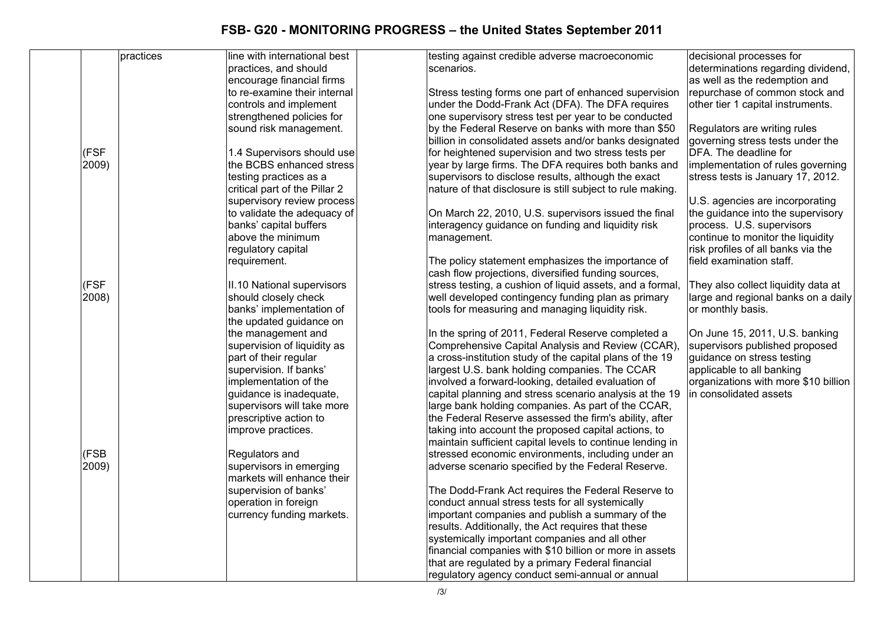|       | practices | line with international best  | testing against credible adverse macroeconomic             | decisional processes for             |
|-------|-----------|-------------------------------|------------------------------------------------------------|--------------------------------------|
|       |           | practices, and should         | scenarios.                                                 | determinations regarding dividend,   |
|       |           | encourage financial firms     |                                                            | as well as the redemption and        |
|       |           | to re-examine their internal  | Stress testing forms one part of enhanced supervision      | repurchase of common stock and       |
|       |           | controls and implement        | under the Dodd-Frank Act (DFA). The DFA requires           | other tier 1 capital instruments.    |
|       |           | strengthened policies for     | one supervisory stress test per year to be conducted       |                                      |
|       |           | sound risk management.        | by the Federal Reserve on banks with more than \$50        | Regulators are writing rules         |
|       |           |                               | billion in consolidated assets and/or banks designated     | governing stress tests under the     |
| (FSF  |           | 1.4 Supervisors should use    | for heightened supervision and two stress tests per        | DFA. The deadline for                |
| 2009) |           | the BCBS enhanced stress      | year by large firms. The DFA requires both banks and       | implementation of rules governing    |
|       |           | testing practices as a        | supervisors to disclose results, although the exact        | stress tests is January 17, 2012.    |
|       |           | critical part of the Pillar 2 | nature of that disclosure is still subject to rule making. |                                      |
|       |           | supervisory review process    |                                                            | U.S. agencies are incorporating      |
|       |           | to validate the adequacy of   | On March 22, 2010, U.S. supervisors issued the final       | the guidance into the supervisory    |
|       |           | banks' capital buffers        | interagency guidance on funding and liquidity risk         | process. U.S. supervisors            |
|       |           | above the minimum             | management.                                                | continue to monitor the liquidity    |
|       |           | regulatory capital            |                                                            | risk profiles of all banks via the   |
|       |           | requirement.                  | The policy statement emphasizes the importance of          | field examination staff.             |
|       |           |                               |                                                            |                                      |
|       |           |                               | cash flow projections, diversified funding sources,        |                                      |
| (FSF  |           | II.10 National supervisors    | stress testing, a cushion of liquid assets, and a formal,  | They also collect liquidity data at  |
| 2008) |           | should closely check          | well developed contingency funding plan as primary         | large and regional banks on a daily  |
|       |           | banks' implementation of      | tools for measuring and managing liquidity risk.           | or monthly basis.                    |
|       |           | the updated guidance on       |                                                            |                                      |
|       |           | the management and            | In the spring of 2011, Federal Reserve completed a         | On June 15, 2011, U.S. banking       |
|       |           | supervision of liquidity as   | Comprehensive Capital Analysis and Review (CCAR),          | supervisors published proposed       |
|       |           | part of their regular         | a cross-institution study of the capital plans of the 19   | guidance on stress testing           |
|       |           | supervision. If banks'        | largest U.S. bank holding companies. The CCAR              | applicable to all banking            |
|       |           | implementation of the         | involved a forward-looking, detailed evaluation of         | organizations with more \$10 billion |
|       |           | guidance is inadequate,       | capital planning and stress scenario analysis at the 19    | in consolidated assets               |
|       |           | supervisors will take more    | large bank holding companies. As part of the CCAR,         |                                      |
|       |           | prescriptive action to        | the Federal Reserve assessed the firm's ability, after     |                                      |
|       |           | improve practices.            | taking into account the proposed capital actions, to       |                                      |
|       |           |                               | maintain sufficient capital levels to continue lending in  |                                      |
| (FSB  |           | Regulators and                | stressed economic environments, including under an         |                                      |
| 2009) |           | supervisors in emerging       | adverse scenario specified by the Federal Reserve.         |                                      |
|       |           | markets will enhance their    |                                                            |                                      |
|       |           | supervision of banks'         | The Dodd-Frank Act requires the Federal Reserve to         |                                      |
|       |           | operation in foreign          | conduct annual stress tests for all systemically           |                                      |
|       |           | currency funding markets.     | important companies and publish a summary of the           |                                      |
|       |           |                               | results. Additionally, the Act requires that these         |                                      |
|       |           |                               | systemically important companies and all other             |                                      |
|       |           |                               | financial companies with \$10 billion or more in assets    |                                      |
|       |           |                               | that are regulated by a primary Federal financial          |                                      |
|       |           |                               | regulatory agency conduct semi-annual or annual            |                                      |
|       |           |                               |                                                            |                                      |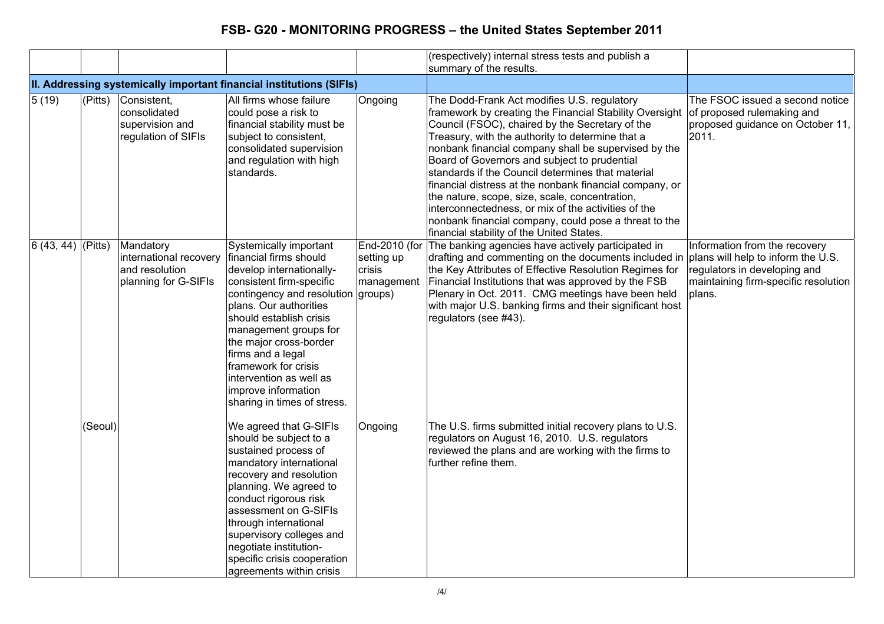|                         |         |                                                                               |                                                                                                                                                                                                                                                                                                                                                                                      |                                    | (respectively) internal stress tests and publish a<br>summary of the results.                                                                                                                                                                                                                                                                                                                                                                                                                                                                                                                                                                        |                                                                                                                                                       |
|-------------------------|---------|-------------------------------------------------------------------------------|--------------------------------------------------------------------------------------------------------------------------------------------------------------------------------------------------------------------------------------------------------------------------------------------------------------------------------------------------------------------------------------|------------------------------------|------------------------------------------------------------------------------------------------------------------------------------------------------------------------------------------------------------------------------------------------------------------------------------------------------------------------------------------------------------------------------------------------------------------------------------------------------------------------------------------------------------------------------------------------------------------------------------------------------------------------------------------------------|-------------------------------------------------------------------------------------------------------------------------------------------------------|
|                         |         |                                                                               | II. Addressing systemically important financial institutions (SIFIs)                                                                                                                                                                                                                                                                                                                 |                                    |                                                                                                                                                                                                                                                                                                                                                                                                                                                                                                                                                                                                                                                      |                                                                                                                                                       |
| $\sqrt{5(19)}$          | (Pitts) | Consistent,<br>consolidated<br>supervision and<br>regulation of SIFIs         | All firms whose failure<br>could pose a risk to<br>financial stability must be<br>subject to consistent,<br>consolidated supervision<br>and regulation with high<br>standards.                                                                                                                                                                                                       | Ongoing                            | The Dodd-Frank Act modifies U.S. regulatory<br>framework by creating the Financial Stability Oversight<br>Council (FSOC), chaired by the Secretary of the<br>Treasury, with the authority to determine that a<br>nonbank financial company shall be supervised by the<br>Board of Governors and subject to prudential<br>standards if the Council determines that material<br>financial distress at the nonbank financial company, or<br>the nature, scope, size, scale, concentration,<br>interconnectedness, or mix of the activities of the<br>nonbank financial company, could pose a threat to the<br>financial stability of the United States. | The FSOC issued a second notice<br>of proposed rulemaking and<br>proposed guidance on October 11,<br>2011.                                            |
| $ 6 (43, 44)  $ (Pitts) |         | Mandatory<br>international recovery<br>and resolution<br>planning for G-SIFIs | Systemically important<br>financial firms should<br>develop internationally-<br>consistent firm-specific<br>contingency and resolution groups)<br>plans. Our authorities<br>should establish crisis<br>management groups for<br>the major cross-border<br>firms and a legal<br>framework for crisis<br>intervention as well as<br>improve information<br>sharing in times of stress. | setting up<br>crisis<br>management | End-2010 (for The banking agencies have actively participated in<br>drafting and commenting on the documents included in<br>the Key Attributes of Effective Resolution Regimes for<br>Financial Institutions that was approved by the FSB<br>Plenary in Oct. 2011. CMG meetings have been held<br>with major U.S. banking firms and their significant host<br>regulators (see #43).                                                                                                                                                                                                                                                                  | Information from the recovery<br>plans will help to inform the U.S.<br>regulators in developing and<br>maintaining firm-specific resolution<br>plans. |
|                         | (Seoul) |                                                                               | We agreed that G-SIFIs<br>should be subject to a<br>sustained process of<br>mandatory international<br>recovery and resolution<br>planning. We agreed to<br>conduct rigorous risk<br>assessment on G-SIFIs<br>through international<br>supervisory colleges and<br>negotiate institution-<br>specific crisis cooperation<br>agreements within crisis                                 | Ongoing                            | The U.S. firms submitted initial recovery plans to U.S.<br>regulators on August 16, 2010. U.S. regulators<br>reviewed the plans and are working with the firms to<br>further refine them.                                                                                                                                                                                                                                                                                                                                                                                                                                                            |                                                                                                                                                       |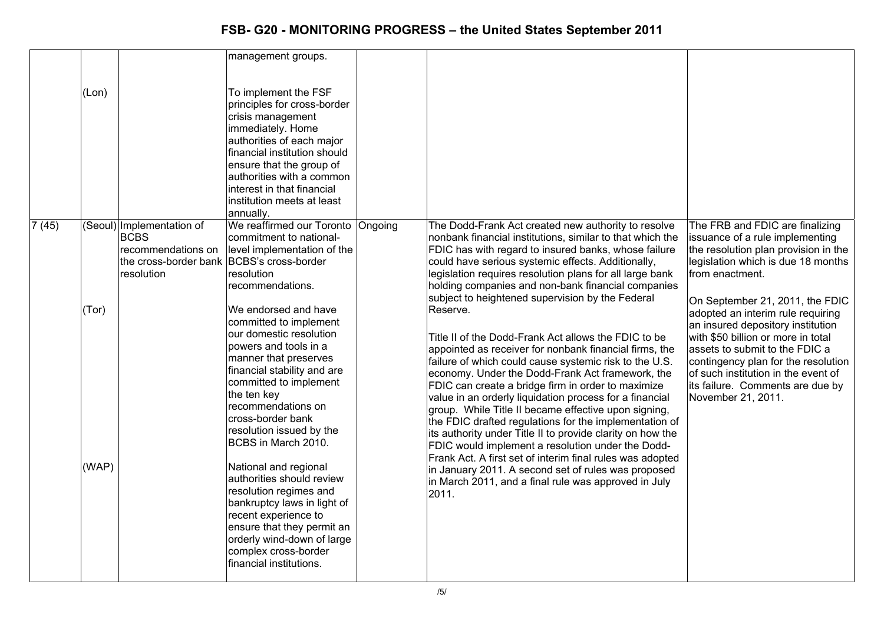|                 |       |                                           | management groups.                                           |                                                                                                                  |                                                                            |
|-----------------|-------|-------------------------------------------|--------------------------------------------------------------|------------------------------------------------------------------------------------------------------------------|----------------------------------------------------------------------------|
|                 |       |                                           |                                                              |                                                                                                                  |                                                                            |
|                 | (Lon) |                                           | To implement the FSF<br>principles for cross-border          |                                                                                                                  |                                                                            |
|                 |       |                                           | crisis management<br>immediately. Home                       |                                                                                                                  |                                                                            |
|                 |       |                                           | authorities of each major                                    |                                                                                                                  |                                                                            |
|                 |       |                                           | financial institution should                                 |                                                                                                                  |                                                                            |
|                 |       |                                           | ensure that the group of                                     |                                                                                                                  |                                                                            |
|                 |       |                                           | authorities with a common                                    |                                                                                                                  |                                                                            |
|                 |       |                                           | interest in that financial                                   |                                                                                                                  |                                                                            |
|                 |       |                                           | linstitution meets at least                                  |                                                                                                                  |                                                                            |
|                 |       |                                           | annually.                                                    |                                                                                                                  |                                                                            |
| $\sqrt{7}$ (45) |       | (Seoul) Implementation of<br><b>BCBS</b>  | We reaffirmed our Toronto Ongoing<br>commitment to national- | The Dodd-Frank Act created new authority to resolve<br>nonbank financial institutions, similar to that which the | The FRB and FDIC are finalizing<br>issuance of a rule implementing         |
|                 |       | recommendations on                        | level implementation of the                                  | FDIC has with regard to insured banks, whose failure                                                             | the resolution plan provision in the                                       |
|                 |       | the cross-border bank BCBS's cross-border |                                                              | could have serious systemic effects. Additionally,                                                               | legislation which is due 18 months                                         |
|                 |       | resolution                                | resolution                                                   | legislation requires resolution plans for all large bank                                                         | from enactment.                                                            |
|                 |       |                                           | recommendations.                                             | holding companies and non-bank financial companies                                                               |                                                                            |
|                 |       |                                           |                                                              | subject to heightened supervision by the Federal                                                                 | On September 21, 2011, the FDIC                                            |
|                 | (Tor) |                                           | We endorsed and have                                         | Reserve.                                                                                                         | adopted an interim rule requiring                                          |
|                 |       |                                           | committed to implement<br>our domestic resolution            |                                                                                                                  | an insured depository institution                                          |
|                 |       |                                           | powers and tools in a                                        | Title II of the Dodd-Frank Act allows the FDIC to be                                                             | with \$50 billion or more in total                                         |
|                 |       |                                           | manner that preserves                                        | appointed as receiver for nonbank financial firms, the                                                           | assets to submit to the FDIC a                                             |
|                 |       |                                           | financial stability and are                                  | failure of which could cause systemic risk to the U.S.<br>economy. Under the Dodd-Frank Act framework, the       | contingency plan for the resolution<br>of such institution in the event of |
|                 |       |                                           | committed to implement                                       | FDIC can create a bridge firm in order to maximize                                                               | its failure. Comments are due by                                           |
|                 |       |                                           | the ten key                                                  | value in an orderly liquidation process for a financial                                                          | November 21, 2011.                                                         |
|                 |       |                                           | recommendations on                                           | group. While Title II became effective upon signing,                                                             |                                                                            |
|                 |       |                                           | cross-border bank                                            | the FDIC drafted regulations for the implementation of                                                           |                                                                            |
|                 |       |                                           | resolution issued by the                                     | its authority under Title II to provide clarity on how the                                                       |                                                                            |
|                 |       |                                           | BCBS in March 2010.                                          | FDIC would implement a resolution under the Dodd-                                                                |                                                                            |
|                 | (WAP) |                                           | National and regional                                        | Frank Act. A first set of interim final rules was adopted                                                        |                                                                            |
|                 |       |                                           | authorities should review                                    | in January 2011. A second set of rules was proposed                                                              |                                                                            |
|                 |       |                                           | resolution regimes and                                       | in March 2011, and a final rule was approved in July                                                             |                                                                            |
|                 |       |                                           | bankruptcy laws in light of                                  | 2011.                                                                                                            |                                                                            |
|                 |       |                                           | recent experience to                                         |                                                                                                                  |                                                                            |
|                 |       |                                           | ensure that they permit an                                   |                                                                                                                  |                                                                            |
|                 |       |                                           | orderly wind-down of large                                   |                                                                                                                  |                                                                            |
|                 |       |                                           | complex cross-border                                         |                                                                                                                  |                                                                            |
|                 |       |                                           | financial institutions.                                      |                                                                                                                  |                                                                            |
|                 |       |                                           |                                                              |                                                                                                                  |                                                                            |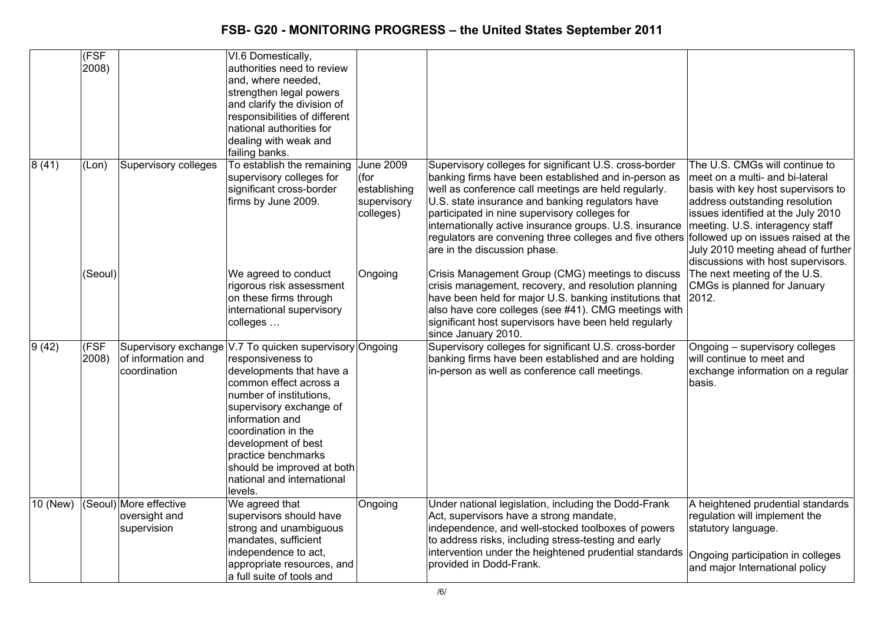|          | (FSF<br>2008)  |                                                        | VI.6 Domestically,<br>authorities need to review<br>and, where needed,<br>strengthen legal powers<br>and clarify the division of<br>responsibilities of different<br>national authorities for<br>dealing with weak and<br>failing banks.                                                                                                                |                                                                      |                                                                                                                                                                                                                                                                                                                                                                                                                                                                       |                                                                                                                                                                                                                                                                                                |
|----------|----------------|--------------------------------------------------------|---------------------------------------------------------------------------------------------------------------------------------------------------------------------------------------------------------------------------------------------------------------------------------------------------------------------------------------------------------|----------------------------------------------------------------------|-----------------------------------------------------------------------------------------------------------------------------------------------------------------------------------------------------------------------------------------------------------------------------------------------------------------------------------------------------------------------------------------------------------------------------------------------------------------------|------------------------------------------------------------------------------------------------------------------------------------------------------------------------------------------------------------------------------------------------------------------------------------------------|
| 8(41)    | (Lon)          | <b>Supervisory colleges</b>                            | To establish the remaining<br>supervisory colleges for<br>significant cross-border<br>firms by June 2009.                                                                                                                                                                                                                                               | <b>June 2009</b><br>(for<br>establishing<br>supervisory<br>colleges) | Supervisory colleges for significant U.S. cross-border<br>banking firms have been established and in-person as<br>well as conference call meetings are held regularly.<br>U.S. state insurance and banking regulators have<br>participated in nine supervisory colleges for<br>internationally active insurance groups. U.S. insurance<br>regulators are convening three colleges and five others followed up on issues raised at the<br>are in the discussion phase. | The U.S. CMGs will continue to<br>meet on a multi- and bi-lateral<br>basis with key host supervisors to<br>address outstanding resolution<br>issues identified at the July 2010<br>meeting. U.S. interagency staff<br>July 2010 meeting ahead of further<br>discussions with host supervisors. |
|          | (Seoul)        |                                                        | We agreed to conduct<br>rigorous risk assessment<br>on these firms through<br>international supervisory<br>colleges                                                                                                                                                                                                                                     | Ongoing                                                              | Crisis Management Group (CMG) meetings to discuss<br>crisis management, recovery, and resolution planning<br>have been held for major U.S. banking institutions that<br>also have core colleges (see #41). CMG meetings with<br>significant host supervisors have been held regularly<br>since January 2010.                                                                                                                                                          | The next meeting of the U.S.<br>CMGs is planned for January<br>2012.                                                                                                                                                                                                                           |
| 9(42)    | (FSF)<br>2008) | of information and<br>coordination                     | Supervisory exchange V.7 To quicken supervisory Ongoing<br>responsiveness to<br>developments that have a<br>common effect across a<br>number of institutions,<br>supervisory exchange of<br>information and<br>coordination in the<br>development of best<br>practice benchmarks<br>should be improved at both<br>national and international<br>levels. |                                                                      | Supervisory colleges for significant U.S. cross-border<br>banking firms have been established and are holding<br>in-person as well as conference call meetings.                                                                                                                                                                                                                                                                                                       | Ongoing - supervisory colleges<br>will continue to meet and<br>exchange information on a regular<br>basis.                                                                                                                                                                                     |
| 10 (New) |                | (Seoul) More effective<br>oversight and<br>supervision | We agreed that<br>supervisors should have<br>strong and unambiguous<br>mandates, sufficient<br>independence to act,<br>appropriate resources, and<br>a full suite of tools and                                                                                                                                                                          | Ongoing                                                              | Under national legislation, including the Dodd-Frank<br>Act, supervisors have a strong mandate,<br>independence, and well-stocked toolboxes of powers<br>to address risks, including stress-testing and early<br>intervention under the heightened prudential standards<br>provided in Dodd-Frank.                                                                                                                                                                    | A heightened prudential standards<br>regulation will implement the<br>statutory language.<br>Ongoing participation in colleges<br>and major International policy                                                                                                                               |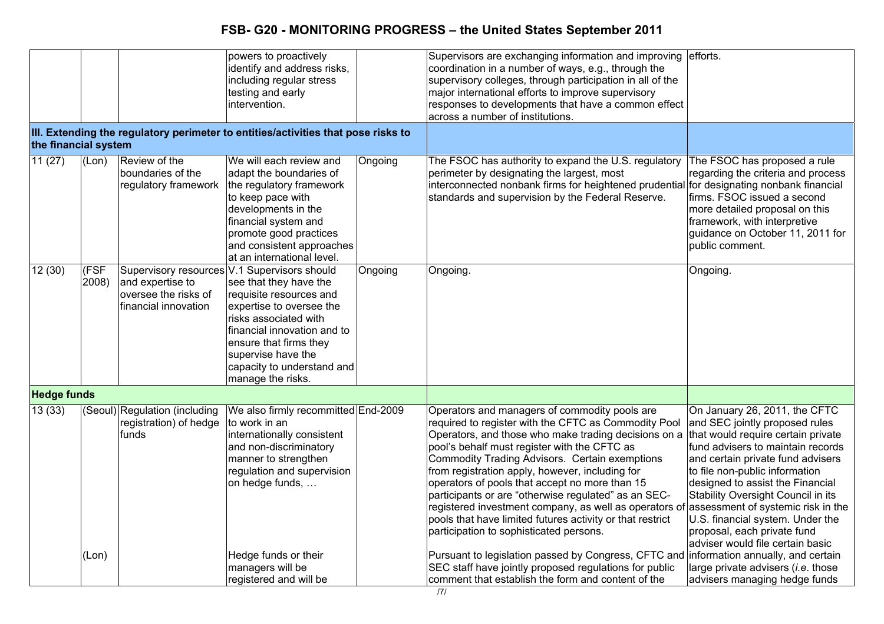|                      |               |                                                                  | powers to proactively<br>identify and address risks,<br>including regular stress<br>testing and early<br>intervention.                                                                                                                                                                   |         | Supervisors are exchanging information and improving<br>coordination in a number of ways, e.g., through the<br>supervisory colleges, through participation in all of the<br>major international efforts to improve supervisory<br>responses to developments that have a common effect<br>across a number of institutions.                                                                                                                                                                                                                                                                      | efforts.                                                                                                                                                                                                                                                                                                                                                                                                                                 |
|----------------------|---------------|------------------------------------------------------------------|------------------------------------------------------------------------------------------------------------------------------------------------------------------------------------------------------------------------------------------------------------------------------------------|---------|------------------------------------------------------------------------------------------------------------------------------------------------------------------------------------------------------------------------------------------------------------------------------------------------------------------------------------------------------------------------------------------------------------------------------------------------------------------------------------------------------------------------------------------------------------------------------------------------|------------------------------------------------------------------------------------------------------------------------------------------------------------------------------------------------------------------------------------------------------------------------------------------------------------------------------------------------------------------------------------------------------------------------------------------|
| the financial system |               |                                                                  | III. Extending the regulatory perimeter to entities/activities that pose risks to                                                                                                                                                                                                        |         |                                                                                                                                                                                                                                                                                                                                                                                                                                                                                                                                                                                                |                                                                                                                                                                                                                                                                                                                                                                                                                                          |
| 11(27)               | (Lon)         | Review of the<br>boundaries of the<br>regulatory framework       | We will each review and<br>adapt the boundaries of<br>the regulatory framework<br>to keep pace with<br>developments in the<br>financial system and<br>promote good practices<br>and consistent approaches<br>at an international level.                                                  | Ongoing | The FSOC has authority to expand the U.S. regulatory<br>perimeter by designating the largest, most<br>interconnected nonbank firms for heightened prudential<br>standards and supervision by the Federal Reserve.                                                                                                                                                                                                                                                                                                                                                                              | The FSOC has proposed a rule<br>regarding the criteria and process<br>for designating nonbank financial<br>firms. FSOC issued a second<br>more detailed proposal on this<br>framework, with interpretive<br>guidance on October 11, 2011 for<br>public comment.                                                                                                                                                                          |
| 12(30)               | (FSF<br>2008) | and expertise to<br>oversee the risks of<br>financial innovation | Supervisory resources V.1 Supervisors should<br>see that they have the<br>requisite resources and<br>expertise to oversee the<br>risks associated with<br>financial innovation and to<br>ensure that firms they<br>supervise have the<br>capacity to understand and<br>manage the risks. | Ongoing | Ongoing.                                                                                                                                                                                                                                                                                                                                                                                                                                                                                                                                                                                       | Ongoing.                                                                                                                                                                                                                                                                                                                                                                                                                                 |
| <b>Hedge funds</b>   |               |                                                                  |                                                                                                                                                                                                                                                                                          |         |                                                                                                                                                                                                                                                                                                                                                                                                                                                                                                                                                                                                |                                                                                                                                                                                                                                                                                                                                                                                                                                          |
| 13(33)               |               | (Seoul) Regulation (including<br>registration) of hedge<br>funds | We also firmly recommitted End-2009<br>to work in an<br>internationally consistent<br>and non-discriminatory<br>manner to strengthen<br>regulation and supervision<br>on hedge funds,                                                                                                    |         | Operators and managers of commodity pools are<br>required to register with the CFTC as Commodity Pool<br>Operators, and those who make trading decisions on a<br>pool's behalf must register with the CFTC as<br>Commodity Trading Advisors. Certain exemptions<br>from registration apply, however, including for<br>operators of pools that accept no more than 15<br>participants or are "otherwise regulated" as an SEC-<br>registered investment company, as well as operators of<br>pools that have limited futures activity or that restrict<br>participation to sophisticated persons. | On January 26, 2011, the CFTC<br>and SEC jointly proposed rules<br>that would require certain private<br>fund advisers to maintain records<br>and certain private fund advisers<br>to file non-public information<br>designed to assist the Financial<br>Stability Oversight Council in its<br>assessment of systemic risk in the<br>U.S. financial system. Under the<br>proposal, each private fund<br>adviser would file certain basic |
|                      | (Lon)         |                                                                  | Hedge funds or their<br>managers will be<br>registered and will be                                                                                                                                                                                                                       |         | Pursuant to legislation passed by Congress, CFTC and<br>SEC staff have jointly proposed regulations for public<br>comment that establish the form and content of the                                                                                                                                                                                                                                                                                                                                                                                                                           | information annually, and certain<br>large private advisers ( <i>i.e.</i> those<br>advisers managing hedge funds                                                                                                                                                                                                                                                                                                                         |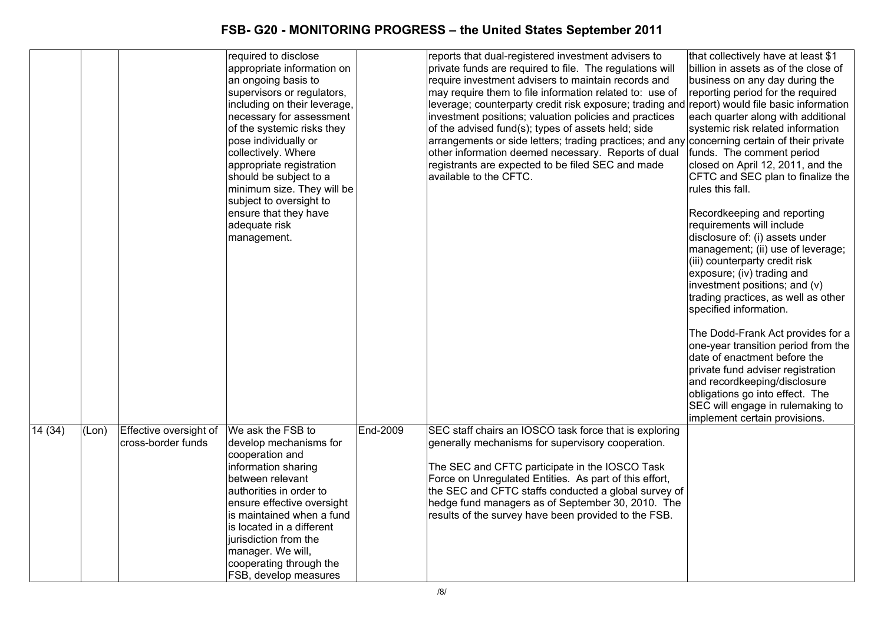|        |       |                                              | required to disclose<br>appropriate information on<br>an ongoing basis to<br>supervisors or regulators,<br>including on their leverage,<br>necessary for assessment<br>of the systemic risks they<br>pose individually or<br>collectively. Where<br>appropriate registration<br>should be subject to a<br>minimum size. They will be<br>subject to oversight to<br>ensure that they have<br>adequate risk<br>management. |                 | reports that dual-registered investment advisers to<br>private funds are required to file. The regulations will<br>require investment advisers to maintain records and<br>may require them to file information related to: use of<br>leverage; counterparty credit risk exposure; trading and report) would file basic information<br>investment positions; valuation policies and practices<br>of the advised fund(s); types of assets held; side<br>arrangements or side letters; trading practices; and any<br>other information deemed necessary. Reports of dual<br>registrants are expected to be filed SEC and made<br>available to the CFTC. | that collectively have at least \$1<br>billion in assets as of the close of<br>business on any day during the<br>reporting period for the required<br>each quarter along with additional<br>systemic risk related information<br>concerning certain of their private<br>funds. The comment period<br>closed on April 12, 2011, and the<br>CFTC and SEC plan to finalize the<br>rules this fall.<br>Recordkeeping and reporting<br>requirements will include<br>disclosure of: (i) assets under<br>management; (ii) use of leverage;<br>(iii) counterparty credit risk<br>exposure; (iv) trading and<br>investment positions; and (v)<br>trading practices, as well as other<br>specified information.<br>The Dodd-Frank Act provides for a<br>one-year transition period from the<br>date of enactment before the<br>private fund adviser registration<br>and recordkeeping/disclosure<br>obligations go into effect. The<br>SEC will engage in rulemaking to |
|--------|-------|----------------------------------------------|--------------------------------------------------------------------------------------------------------------------------------------------------------------------------------------------------------------------------------------------------------------------------------------------------------------------------------------------------------------------------------------------------------------------------|-----------------|------------------------------------------------------------------------------------------------------------------------------------------------------------------------------------------------------------------------------------------------------------------------------------------------------------------------------------------------------------------------------------------------------------------------------------------------------------------------------------------------------------------------------------------------------------------------------------------------------------------------------------------------------|---------------------------------------------------------------------------------------------------------------------------------------------------------------------------------------------------------------------------------------------------------------------------------------------------------------------------------------------------------------------------------------------------------------------------------------------------------------------------------------------------------------------------------------------------------------------------------------------------------------------------------------------------------------------------------------------------------------------------------------------------------------------------------------------------------------------------------------------------------------------------------------------------------------------------------------------------------------|
| 14(34) | (Lon) | Effective oversight of<br>cross-border funds | We ask the FSB to<br>develop mechanisms for<br>cooperation and<br>information sharing<br>between relevant<br>authorities in order to<br>ensure effective oversight<br>is maintained when a fund<br>is located in a different<br>jurisdiction from the<br>manager. We will,<br>cooperating through the<br><b>FSB, develop measures</b>                                                                                    | <b>End-2009</b> | SEC staff chairs an IOSCO task force that is exploring<br>generally mechanisms for supervisory cooperation.<br>The SEC and CFTC participate in the IOSCO Task<br>Force on Unregulated Entities. As part of this effort,<br>the SEC and CFTC staffs conducted a global survey of<br>hedge fund managers as of September 30, 2010. The<br>results of the survey have been provided to the FSB.                                                                                                                                                                                                                                                         | implement certain provisions.                                                                                                                                                                                                                                                                                                                                                                                                                                                                                                                                                                                                                                                                                                                                                                                                                                                                                                                                 |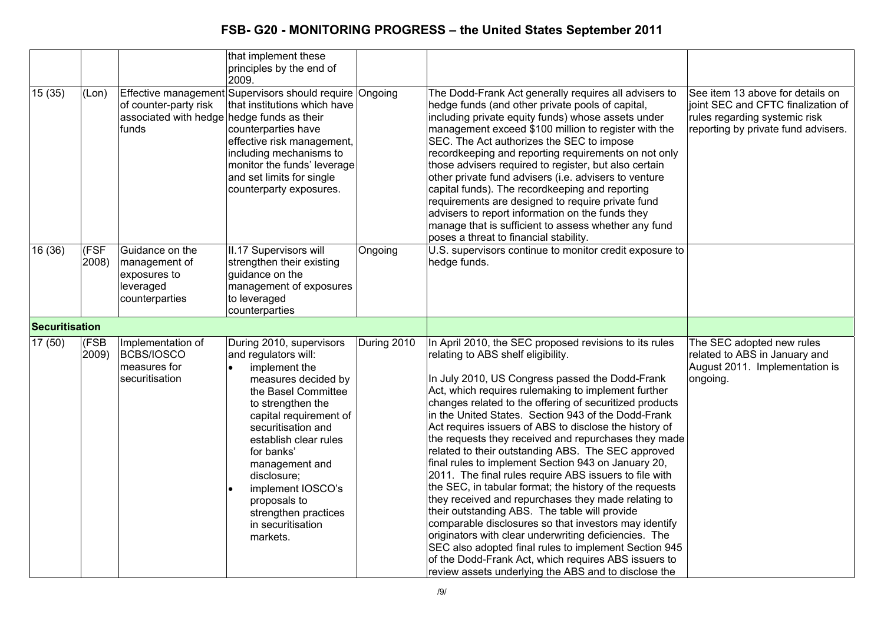|                       |               |                                                                                 | that implement these<br>principles by the end of<br>2009.                                                                                                                                                                                                                                                                                                  |             |                                                                                                                                                                                                                                                                                                                                                                                                                                                                                                                                                                                                                                                                                                                                                                                                                                                                                                                                                                                                                                                                                 |                                                                                                                                                |
|-----------------------|---------------|---------------------------------------------------------------------------------|------------------------------------------------------------------------------------------------------------------------------------------------------------------------------------------------------------------------------------------------------------------------------------------------------------------------------------------------------------|-------------|---------------------------------------------------------------------------------------------------------------------------------------------------------------------------------------------------------------------------------------------------------------------------------------------------------------------------------------------------------------------------------------------------------------------------------------------------------------------------------------------------------------------------------------------------------------------------------------------------------------------------------------------------------------------------------------------------------------------------------------------------------------------------------------------------------------------------------------------------------------------------------------------------------------------------------------------------------------------------------------------------------------------------------------------------------------------------------|------------------------------------------------------------------------------------------------------------------------------------------------|
| 15(35)                | (Lon)         | of counter-party risk<br>associated with hedge hedge funds as their<br>funds    | Effective management Supervisors should require Ongoing<br>that institutions which have<br>counterparties have<br>effective risk management,<br>including mechanisms to<br>monitor the funds' leverage<br>and set limits for single<br>counterparty exposures.                                                                                             |             | The Dodd-Frank Act generally requires all advisers to<br>hedge funds (and other private pools of capital,<br>including private equity funds) whose assets under<br>management exceed \$100 million to register with the<br>SEC. The Act authorizes the SEC to impose<br>recordkeeping and reporting requirements on not only<br>those advisers required to register, but also certain<br>other private fund advisers (i.e. advisers to venture<br>capital funds). The recordkeeping and reporting<br>requirements are designed to require private fund<br>advisers to report information on the funds they<br>manage that is sufficient to assess whether any fund<br>poses a threat to financial stability.                                                                                                                                                                                                                                                                                                                                                                    | See item 13 above for details on<br>joint SEC and CFTC finalization of<br>rules regarding systemic risk<br>reporting by private fund advisers. |
| 16 (36)               | (FSF<br>2008) | Guidance on the<br>management of<br>exposures to<br>leveraged<br>counterparties | II.17 Supervisors will<br>strengthen their existing<br>guidance on the<br>management of exposures<br>to leveraged<br>counterparties                                                                                                                                                                                                                        | Ongoing     | U.S. supervisors continue to monitor credit exposure to<br>hedge funds.                                                                                                                                                                                                                                                                                                                                                                                                                                                                                                                                                                                                                                                                                                                                                                                                                                                                                                                                                                                                         |                                                                                                                                                |
| <b>Securitisation</b> |               |                                                                                 |                                                                                                                                                                                                                                                                                                                                                            |             |                                                                                                                                                                                                                                                                                                                                                                                                                                                                                                                                                                                                                                                                                                                                                                                                                                                                                                                                                                                                                                                                                 |                                                                                                                                                |
| 17(50)                | (FSB<br>2009) | Implementation of<br><b>BCBS/IOSCO</b><br>measures for<br>securitisation        | During 2010, supervisors<br>and regulators will:<br>implement the<br>measures decided by<br>the Basel Committee<br>to strengthen the<br>capital requirement of<br>securitisation and<br>establish clear rules<br>for banks'<br>management and<br>disclosure;<br>implement IOSCO's<br>proposals to<br>strengthen practices<br>in securitisation<br>markets. | During 2010 | In April 2010, the SEC proposed revisions to its rules<br>relating to ABS shelf eligibility.<br>In July 2010, US Congress passed the Dodd-Frank<br>Act, which requires rulemaking to implement further<br>changes related to the offering of securitized products<br>in the United States. Section 943 of the Dodd-Frank<br>Act requires issuers of ABS to disclose the history of<br>the requests they received and repurchases they made<br>related to their outstanding ABS. The SEC approved<br>final rules to implement Section 943 on January 20,<br>2011. The final rules require ABS issuers to file with<br>the SEC, in tabular format; the history of the requests<br>they received and repurchases they made relating to<br>their outstanding ABS. The table will provide<br>comparable disclosures so that investors may identify<br>originators with clear underwriting deficiencies. The<br>SEC also adopted final rules to implement Section 945<br>of the Dodd-Frank Act, which requires ABS issuers to<br>review assets underlying the ABS and to disclose the | The SEC adopted new rules<br>related to ABS in January and<br>August 2011. Implementation is<br>ongoing.                                       |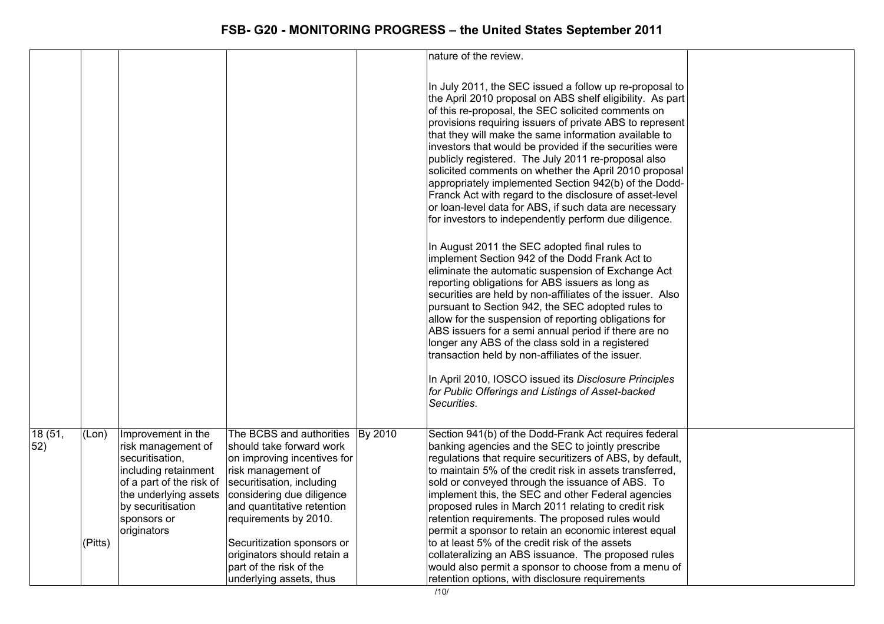|                |                  |                                                                                                                                                                                             |                                                                                                                                                                                                                                                                                                                                               |         | nature of the review.                                                                                                                                                                                                                                                                                                                                                                                                                                                                                                                                                                                                                                                                                                                                                                                                                                                                                                                                                                                                                                                                                                                                                                                                                                                                                                                                                                                   |  |
|----------------|------------------|---------------------------------------------------------------------------------------------------------------------------------------------------------------------------------------------|-----------------------------------------------------------------------------------------------------------------------------------------------------------------------------------------------------------------------------------------------------------------------------------------------------------------------------------------------|---------|---------------------------------------------------------------------------------------------------------------------------------------------------------------------------------------------------------------------------------------------------------------------------------------------------------------------------------------------------------------------------------------------------------------------------------------------------------------------------------------------------------------------------------------------------------------------------------------------------------------------------------------------------------------------------------------------------------------------------------------------------------------------------------------------------------------------------------------------------------------------------------------------------------------------------------------------------------------------------------------------------------------------------------------------------------------------------------------------------------------------------------------------------------------------------------------------------------------------------------------------------------------------------------------------------------------------------------------------------------------------------------------------------------|--|
|                |                  |                                                                                                                                                                                             |                                                                                                                                                                                                                                                                                                                                               |         | In July 2011, the SEC issued a follow up re-proposal to<br>the April 2010 proposal on ABS shelf eligibility. As part<br>of this re-proposal, the SEC solicited comments on<br>provisions requiring issuers of private ABS to represent<br>that they will make the same information available to<br>investors that would be provided if the securities were<br>publicly registered. The July 2011 re-proposal also<br>solicited comments on whether the April 2010 proposal<br>appropriately implemented Section 942(b) of the Dodd-<br>Franck Act with regard to the disclosure of asset-level<br>or loan-level data for ABS, if such data are necessary<br>for investors to independently perform due diligence.<br>In August 2011 the SEC adopted final rules to<br>implement Section 942 of the Dodd Frank Act to<br>eliminate the automatic suspension of Exchange Act<br>reporting obligations for ABS issuers as long as<br>securities are held by non-affiliates of the issuer. Also<br>pursuant to Section 942, the SEC adopted rules to<br>allow for the suspension of reporting obligations for<br>ABS issuers for a semi annual period if there are no<br>longer any ABS of the class sold in a registered<br>transaction held by non-affiliates of the issuer.<br>In April 2010, IOSCO issued its Disclosure Principles<br>for Public Offerings and Listings of Asset-backed<br>Securities. |  |
|                |                  |                                                                                                                                                                                             |                                                                                                                                                                                                                                                                                                                                               |         |                                                                                                                                                                                                                                                                                                                                                                                                                                                                                                                                                                                                                                                                                                                                                                                                                                                                                                                                                                                                                                                                                                                                                                                                                                                                                                                                                                                                         |  |
| 18 (51,<br>52) | (Lon)<br>(Pitts) | Improvement in the<br>risk management of<br>securitisation,<br>including retainment<br>of a part of the risk of<br>the underlying assets<br>by securitisation<br>sponsors or<br>originators | The BCBS and authorities<br>should take forward work<br>on improving incentives for<br>risk management of<br>securitisation, including<br>considering due diligence<br>and quantitative retention<br>requirements by 2010.<br>Securitization sponsors or<br>originators should retain a<br>part of the risk of the<br>underlying assets, thus | By 2010 | Section 941(b) of the Dodd-Frank Act requires federal<br>banking agencies and the SEC to jointly prescribe<br>regulations that require securitizers of ABS, by default,<br>to maintain 5% of the credit risk in assets transferred,<br>sold or conveyed through the issuance of ABS. To<br>implement this, the SEC and other Federal agencies<br>proposed rules in March 2011 relating to credit risk<br>retention requirements. The proposed rules would<br>permit a sponsor to retain an economic interest equal<br>to at least 5% of the credit risk of the assets<br>collateralizing an ABS issuance. The proposed rules<br>would also permit a sponsor to choose from a menu of<br>retention options, with disclosure requirements                                                                                                                                                                                                                                                                                                                                                                                                                                                                                                                                                                                                                                                                 |  |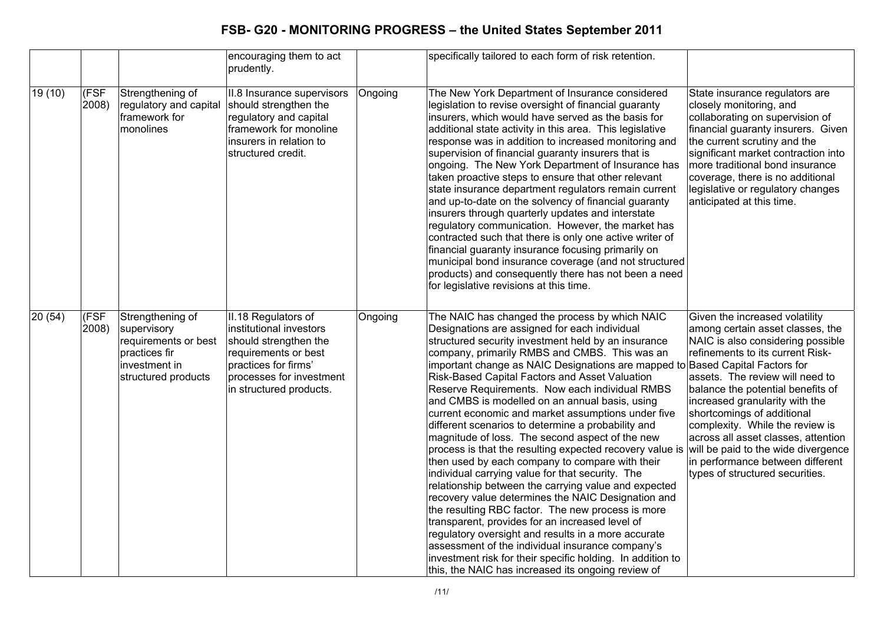|         |               |                                                                                                                  | encouraging them to act<br>prudently.                                                                                                                                          |         | specifically tailored to each form of risk retention.                                                                                                                                                                                                                                                                                                                                                                                                                                                                                                                                                                                                                                                                                                                                                                                                                                                                                                                                                                                                                                                                                                                                                                                 |                                                                                                                                                                                                                                                                                                                                                                                                                                                                             |
|---------|---------------|------------------------------------------------------------------------------------------------------------------|--------------------------------------------------------------------------------------------------------------------------------------------------------------------------------|---------|---------------------------------------------------------------------------------------------------------------------------------------------------------------------------------------------------------------------------------------------------------------------------------------------------------------------------------------------------------------------------------------------------------------------------------------------------------------------------------------------------------------------------------------------------------------------------------------------------------------------------------------------------------------------------------------------------------------------------------------------------------------------------------------------------------------------------------------------------------------------------------------------------------------------------------------------------------------------------------------------------------------------------------------------------------------------------------------------------------------------------------------------------------------------------------------------------------------------------------------|-----------------------------------------------------------------------------------------------------------------------------------------------------------------------------------------------------------------------------------------------------------------------------------------------------------------------------------------------------------------------------------------------------------------------------------------------------------------------------|
| 19 (10) | (FSF<br>2008) | Strengthening of<br>regulatory and capital<br>framework for<br>monolines                                         | II.8 Insurance supervisors<br>should strengthen the<br>regulatory and capital<br>framework for monoline<br>insurers in relation to<br>structured credit.                       | Ongoing | The New York Department of Insurance considered<br>legislation to revise oversight of financial guaranty<br>insurers, which would have served as the basis for<br>additional state activity in this area. This legislative<br>response was in addition to increased monitoring and<br>supervision of financial guaranty insurers that is<br>ongoing. The New York Department of Insurance has<br>taken proactive steps to ensure that other relevant<br>state insurance department regulators remain current<br>and up-to-date on the solvency of financial guaranty<br>insurers through quarterly updates and interstate<br>regulatory communication. However, the market has<br>contracted such that there is only one active writer of<br>financial guaranty insurance focusing primarily on<br>municipal bond insurance coverage (and not structured<br>products) and consequently there has not been a need<br>for legislative revisions at this time.                                                                                                                                                                                                                                                                           | State insurance regulators are<br>closely monitoring, and<br>collaborating on supervision of<br>financial guaranty insurers. Given<br>the current scrutiny and the<br>significant market contraction into<br>more traditional bond insurance<br>coverage, there is no additional<br>legislative or regulatory changes<br>anticipated at this time.                                                                                                                          |
| 20(54)  | (FSF<br>2008) | Strengthening of<br>supervisory<br>requirements or best<br>practices fir<br>investment in<br>structured products | II.18 Regulators of<br>institutional investors<br>should strengthen the<br>requirements or best<br>practices for firms'<br>processes for investment<br>in structured products. | Ongoing | The NAIC has changed the process by which NAIC<br>Designations are assigned for each individual<br>structured security investment held by an insurance<br>company, primarily RMBS and CMBS. This was an<br>important change as NAIC Designations are mapped to Based Capital Factors for<br>Risk-Based Capital Factors and Asset Valuation<br>Reserve Requirements. Now each individual RMBS<br>and CMBS is modelled on an annual basis, using<br>current economic and market assumptions under five<br>different scenarios to determine a probability and<br>magnitude of loss. The second aspect of the new<br>process is that the resulting expected recovery value is<br>then used by each company to compare with their<br>individual carrying value for that security. The<br>relationship between the carrying value and expected<br>recovery value determines the NAIC Designation and<br>the resulting RBC factor. The new process is more<br>transparent, provides for an increased level of<br>regulatory oversight and results in a more accurate<br>assessment of the individual insurance company's<br>investment risk for their specific holding. In addition to<br>this, the NAIC has increased its ongoing review of | Given the increased volatility<br>among certain asset classes, the<br>NAIC is also considering possible<br>refinements to its current Risk-<br>assets. The review will need to<br>balance the potential benefits of<br>increased granularity with the<br>shortcomings of additional<br>complexity. While the review is<br>across all asset classes, attention<br>will be paid to the wide divergence<br>in performance between different<br>types of structured securities. |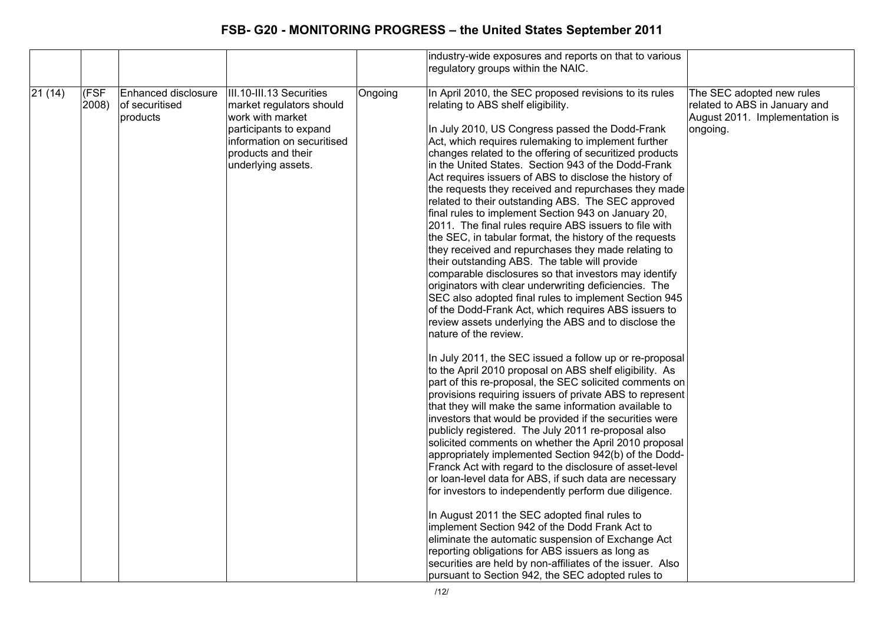|        |               |                                                   |                                                                                                                                                                              |         | industry-wide exposures and reports on that to various                                                                                                                                                                                                                                                                                                                                                                                                                                                                                                                                                                                                                                                                                                                                                                                                                                                                                                                                                                                                                                                                                                                                                                                                                                                                                                                                                                                                                                                                                                                                                                                                                                                                                                                                                                                                                                                                                                                                                                                                                                                                                                          |                                                                                                          |
|--------|---------------|---------------------------------------------------|------------------------------------------------------------------------------------------------------------------------------------------------------------------------------|---------|-----------------------------------------------------------------------------------------------------------------------------------------------------------------------------------------------------------------------------------------------------------------------------------------------------------------------------------------------------------------------------------------------------------------------------------------------------------------------------------------------------------------------------------------------------------------------------------------------------------------------------------------------------------------------------------------------------------------------------------------------------------------------------------------------------------------------------------------------------------------------------------------------------------------------------------------------------------------------------------------------------------------------------------------------------------------------------------------------------------------------------------------------------------------------------------------------------------------------------------------------------------------------------------------------------------------------------------------------------------------------------------------------------------------------------------------------------------------------------------------------------------------------------------------------------------------------------------------------------------------------------------------------------------------------------------------------------------------------------------------------------------------------------------------------------------------------------------------------------------------------------------------------------------------------------------------------------------------------------------------------------------------------------------------------------------------------------------------------------------------------------------------------------------------|----------------------------------------------------------------------------------------------------------|
|        |               |                                                   |                                                                                                                                                                              |         | regulatory groups within the NAIC.                                                                                                                                                                                                                                                                                                                                                                                                                                                                                                                                                                                                                                                                                                                                                                                                                                                                                                                                                                                                                                                                                                                                                                                                                                                                                                                                                                                                                                                                                                                                                                                                                                                                                                                                                                                                                                                                                                                                                                                                                                                                                                                              |                                                                                                          |
| 21(14) | (FSF<br>2008) | Enhanced disclosure<br>of securitised<br>products | III.10-III.13 Securities<br>market regulators should<br>work with market<br>participants to expand<br>information on securitised<br>products and their<br>underlying assets. | Ongoing | In April 2010, the SEC proposed revisions to its rules<br>relating to ABS shelf eligibility.<br>In July 2010, US Congress passed the Dodd-Frank<br>Act, which requires rulemaking to implement further<br>changes related to the offering of securitized products<br>in the United States. Section 943 of the Dodd-Frank<br>Act requires issuers of ABS to disclose the history of<br>the requests they received and repurchases they made<br>related to their outstanding ABS. The SEC approved<br>final rules to implement Section 943 on January 20,<br>2011. The final rules require ABS issuers to file with<br>the SEC, in tabular format, the history of the requests<br>they received and repurchases they made relating to<br>their outstanding ABS. The table will provide<br>comparable disclosures so that investors may identify<br>originators with clear underwriting deficiencies. The<br>SEC also adopted final rules to implement Section 945<br>of the Dodd-Frank Act, which requires ABS issuers to<br>review assets underlying the ABS and to disclose the<br>nature of the review.<br>In July 2011, the SEC issued a follow up or re-proposal<br>to the April 2010 proposal on ABS shelf eligibility. As<br>part of this re-proposal, the SEC solicited comments on<br>provisions requiring issuers of private ABS to represent<br>that they will make the same information available to<br>investors that would be provided if the securities were<br>publicly registered. The July 2011 re-proposal also<br>solicited comments on whether the April 2010 proposal<br>appropriately implemented Section 942(b) of the Dodd-<br>Franck Act with regard to the disclosure of asset-level<br>or loan-level data for ABS, if such data are necessary<br>for investors to independently perform due diligence.<br>In August 2011 the SEC adopted final rules to<br>implement Section 942 of the Dodd Frank Act to<br>eliminate the automatic suspension of Exchange Act<br>reporting obligations for ABS issuers as long as<br>securities are held by non-affiliates of the issuer. Also<br>pursuant to Section 942, the SEC adopted rules to | The SEC adopted new rules<br>related to ABS in January and<br>August 2011. Implementation is<br>ongoing. |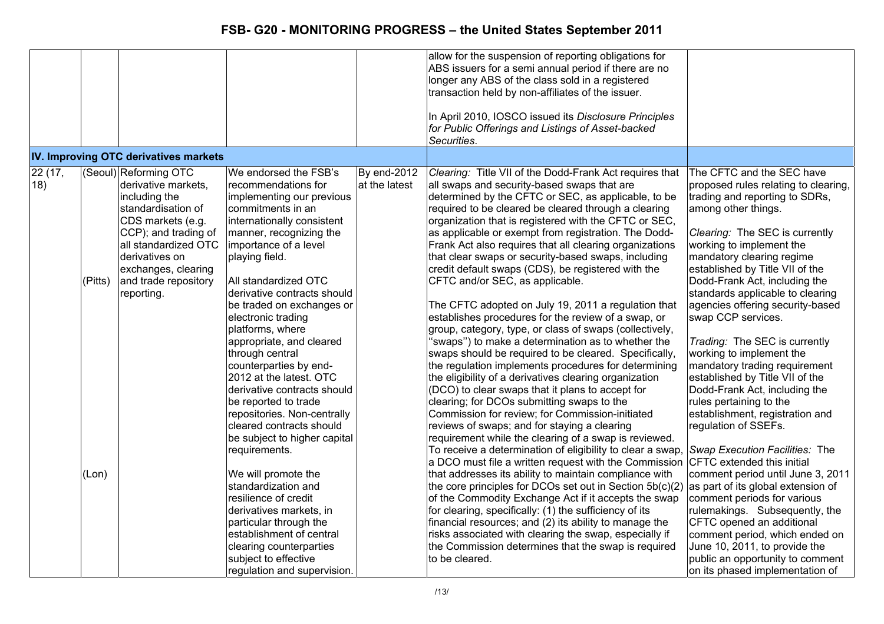|               |                  |                                                                                                                                                                                                                                         |                                                                                                                                                                                                                                                                                                                                                                                                                                                                                                                                                                                                                                                                                                                                                                                           |                              | allow for the suspension of reporting obligations for<br>ABS issuers for a semi annual period if there are no<br>longer any ABS of the class sold in a registered<br>transaction held by non-affiliates of the issuer.<br>In April 2010, IOSCO issued its Disclosure Principles<br>for Public Offerings and Listings of Asset-backed<br>Securities.                                                                                                                                                                                                                                                                                                                                                                                                                                                                                                                                                                                                                                                                                                                                                                                                                                                                                                                                                                                                                                                                                                                                                                                                                                                                                                                                                                                                                 |                                                                                                                                                                                                                                                                                                                                                                                                                                                                                                                                                                                                                                                                                                                                                                                                                                                                                                                                                             |
|---------------|------------------|-----------------------------------------------------------------------------------------------------------------------------------------------------------------------------------------------------------------------------------------|-------------------------------------------------------------------------------------------------------------------------------------------------------------------------------------------------------------------------------------------------------------------------------------------------------------------------------------------------------------------------------------------------------------------------------------------------------------------------------------------------------------------------------------------------------------------------------------------------------------------------------------------------------------------------------------------------------------------------------------------------------------------------------------------|------------------------------|---------------------------------------------------------------------------------------------------------------------------------------------------------------------------------------------------------------------------------------------------------------------------------------------------------------------------------------------------------------------------------------------------------------------------------------------------------------------------------------------------------------------------------------------------------------------------------------------------------------------------------------------------------------------------------------------------------------------------------------------------------------------------------------------------------------------------------------------------------------------------------------------------------------------------------------------------------------------------------------------------------------------------------------------------------------------------------------------------------------------------------------------------------------------------------------------------------------------------------------------------------------------------------------------------------------------------------------------------------------------------------------------------------------------------------------------------------------------------------------------------------------------------------------------------------------------------------------------------------------------------------------------------------------------------------------------------------------------------------------------------------------------|-------------------------------------------------------------------------------------------------------------------------------------------------------------------------------------------------------------------------------------------------------------------------------------------------------------------------------------------------------------------------------------------------------------------------------------------------------------------------------------------------------------------------------------------------------------------------------------------------------------------------------------------------------------------------------------------------------------------------------------------------------------------------------------------------------------------------------------------------------------------------------------------------------------------------------------------------------------|
|               |                  | IV. Improving OTC derivatives markets                                                                                                                                                                                                   |                                                                                                                                                                                                                                                                                                                                                                                                                                                                                                                                                                                                                                                                                                                                                                                           |                              |                                                                                                                                                                                                                                                                                                                                                                                                                                                                                                                                                                                                                                                                                                                                                                                                                                                                                                                                                                                                                                                                                                                                                                                                                                                                                                                                                                                                                                                                                                                                                                                                                                                                                                                                                                     |                                                                                                                                                                                                                                                                                                                                                                                                                                                                                                                                                                                                                                                                                                                                                                                                                                                                                                                                                             |
| 22(17,<br>18) | (Pitts)<br>(Lon) | (Seoul) Reforming OTC<br>derivative markets,<br>including the<br>standardisation of<br>CDS markets (e.g.<br>CCP); and trading of<br>all standardized OTC<br>derivatives on<br>exchanges, clearing<br>and trade repository<br>reporting. | We endorsed the FSB's<br>recommendations for<br>implementing our previous<br>commitments in an<br>internationally consistent<br>manner, recognizing the<br>importance of a level<br>playing field.<br>All standardized OTC<br>derivative contracts should<br>be traded on exchanges or<br>electronic trading<br>platforms, where<br>appropriate, and cleared<br>through central<br>counterparties by end-<br>2012 at the latest. OTC<br>derivative contracts should<br>be reported to trade<br>repositories. Non-centrally<br>cleared contracts should<br>be subject to higher capital<br>requirements.<br>We will promote the<br>standardization and<br>resilience of credit<br>derivatives markets, in<br>particular through the<br>establishment of central<br>clearing counterparties | By end-2012<br>at the latest | Clearing: Title VII of the Dodd-Frank Act requires that<br>all swaps and security-based swaps that are<br>determined by the CFTC or SEC, as applicable, to be<br>required to be cleared be cleared through a clearing<br>organization that is registered with the CFTC or SEC,<br>as applicable or exempt from registration. The Dodd-<br>Frank Act also requires that all clearing organizations<br>that clear swaps or security-based swaps, including<br>credit default swaps (CDS), be registered with the<br>CFTC and/or SEC, as applicable.<br>The CFTC adopted on July 19, 2011 a regulation that<br>establishes procedures for the review of a swap, or<br>group, category, type, or class of swaps (collectively,<br>"swaps") to make a determination as to whether the<br>swaps should be required to be cleared. Specifically,<br>the regulation implements procedures for determining<br>the eligibility of a derivatives clearing organization<br>(DCO) to clear swaps that it plans to accept for<br>clearing; for DCOs submitting swaps to the<br>Commission for review; for Commission-initiated<br>reviews of swaps; and for staying a clearing<br>requirement while the clearing of a swap is reviewed.<br>To receive a determination of eligibility to clear a swap,<br>a DCO must file a written request with the Commission<br>that addresses its ability to maintain compliance with<br>the core principles for DCOs set out in Section 5b(c)(2)<br>of the Commodity Exchange Act if it accepts the swap<br>for clearing, specifically: (1) the sufficiency of its<br>financial resources; and (2) its ability to manage the<br>risks associated with clearing the swap, especially if<br>the Commission determines that the swap is required | The CFTC and the SEC have<br>proposed rules relating to clearing,<br>trading and reporting to SDRs,<br>among other things.<br>Clearing: The SEC is currently<br>working to implement the<br>mandatory clearing regime<br>established by Title VII of the<br>Dodd-Frank Act, including the<br>standards applicable to clearing<br>agencies offering security-based<br>swap CCP services.<br>Trading: The SEC is currently<br>working to implement the<br>mandatory trading requirement<br>established by Title VII of the<br>Dodd-Frank Act, including the<br>rules pertaining to the<br>establishment, registration and<br>regulation of SSEFs.<br>Swap Execution Facilities: The<br>CFTC extended this initial<br>comment period until June 3, 2011<br>as part of its global extension of<br>comment periods for various<br>rulemakings. Subsequently, the<br>CFTC opened an additional<br>comment period, which ended on<br>June 10, 2011, to provide the |
|               |                  |                                                                                                                                                                                                                                         | subject to effective<br>regulation and supervision.                                                                                                                                                                                                                                                                                                                                                                                                                                                                                                                                                                                                                                                                                                                                       |                              | to be cleared.                                                                                                                                                                                                                                                                                                                                                                                                                                                                                                                                                                                                                                                                                                                                                                                                                                                                                                                                                                                                                                                                                                                                                                                                                                                                                                                                                                                                                                                                                                                                                                                                                                                                                                                                                      | public an opportunity to comment<br>on its phased implementation of                                                                                                                                                                                                                                                                                                                                                                                                                                                                                                                                                                                                                                                                                                                                                                                                                                                                                         |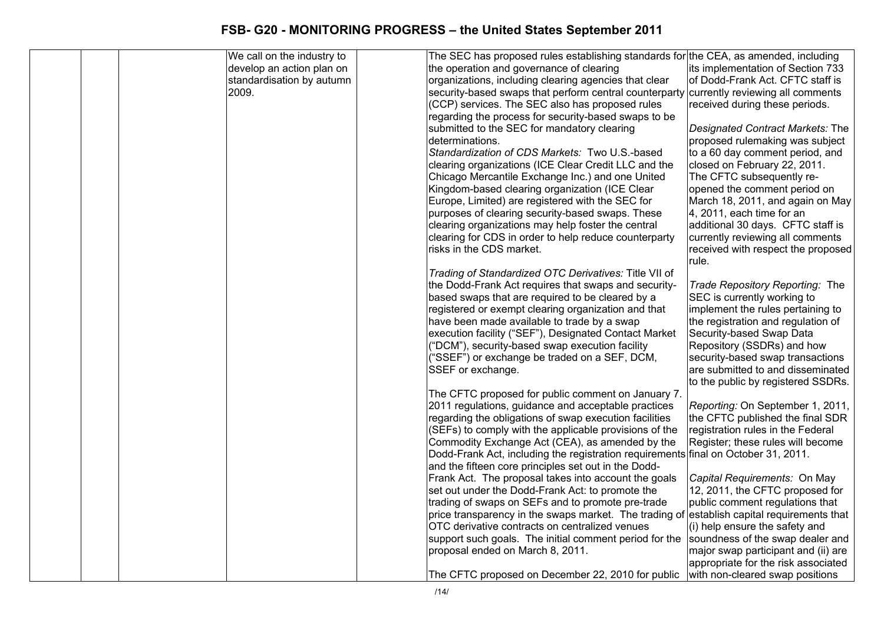|  | We call on the industry to | The SEC has proposed rules establishing standards for the CEA, as amended, including                          |                                                                |
|--|----------------------------|---------------------------------------------------------------------------------------------------------------|----------------------------------------------------------------|
|  | develop an action plan on  | the operation and governance of clearing                                                                      | lits implementation of Section 733                             |
|  | standardisation by autumn  | organizations, including clearing agencies that clear                                                         | of Dodd-Frank Act. CFTC staff is                               |
|  | 2009.                      | security-based swaps that perform central counterparty                                                        | currently reviewing all comments                               |
|  |                            | (CCP) services. The SEC also has proposed rules                                                               | received during these periods.                                 |
|  |                            | regarding the process for security-based swaps to be                                                          |                                                                |
|  |                            | submitted to the SEC for mandatory clearing                                                                   | Designated Contract Markets: The                               |
|  |                            | determinations.                                                                                               | proposed rulemaking was subject                                |
|  |                            | Standardization of CDS Markets: Two U.S.-based                                                                | to a 60 day comment period, and                                |
|  |                            | clearing organizations (ICE Clear Credit LLC and the                                                          | closed on February 22, 2011.                                   |
|  |                            | Chicago Mercantile Exchange Inc.) and one United                                                              | The CFTC subsequently re-                                      |
|  |                            | Kingdom-based clearing organization (ICE Clear                                                                | opened the comment period on                                   |
|  |                            | Europe, Limited) are registered with the SEC for                                                              | March 18, 2011, and again on May                               |
|  |                            | purposes of clearing security-based swaps. These                                                              | 4, 2011, each time for an                                      |
|  |                            | clearing organizations may help foster the central                                                            | additional 30 days. CFTC staff is                              |
|  |                            | clearing for CDS in order to help reduce counterparty                                                         | currently reviewing all comments                               |
|  |                            | risks in the CDS market.                                                                                      | received with respect the proposed                             |
|  |                            |                                                                                                               | rule.                                                          |
|  |                            | Trading of Standardized OTC Derivatives: Title VII of<br>the Dodd-Frank Act requires that swaps and security- |                                                                |
|  |                            | based swaps that are required to be cleared by a                                                              | Trade Repository Reporting: The<br>SEC is currently working to |
|  |                            | registered or exempt clearing organization and that                                                           | implement the rules pertaining to                              |
|  |                            | have been made available to trade by a swap                                                                   | the registration and regulation of                             |
|  |                            | execution facility ("SEF"), Designated Contact Market                                                         | Security-based Swap Data                                       |
|  |                            | ("DCM"), security-based swap execution facility                                                               | Repository (SSDRs) and how                                     |
|  |                            | ("SSEF") or exchange be traded on a SEF, DCM,                                                                 | security-based swap transactions                               |
|  |                            | SSEF or exchange.                                                                                             | are submitted to and disseminated                              |
|  |                            |                                                                                                               | to the public by registered SSDRs.                             |
|  |                            | The CFTC proposed for public comment on January 7.                                                            |                                                                |
|  |                            | 2011 regulations, guidance and acceptable practices                                                           | Reporting: On September 1, 2011,                               |
|  |                            | regarding the obligations of swap execution facilities                                                        | the CFTC published the final SDR                               |
|  |                            | (SEFs) to comply with the applicable provisions of the                                                        | registration rules in the Federal                              |
|  |                            | Commodity Exchange Act (CEA), as amended by the                                                               | Register; these rules will become                              |
|  |                            | Dodd-Frank Act, including the registration requirements final on October 31, 2011.                            |                                                                |
|  |                            | and the fifteen core principles set out in the Dodd-                                                          |                                                                |
|  |                            | Frank Act. The proposal takes into account the goals                                                          | Capital Requirements: On May                                   |
|  |                            | set out under the Dodd-Frank Act: to promote the                                                              | 12, 2011, the CFTC proposed for                                |
|  |                            | trading of swaps on SEFs and to promote pre-trade                                                             | public comment regulations that                                |
|  |                            | price transparency in the swaps market. The trading of                                                        | establish capital requirements that                            |
|  |                            | OTC derivative contracts on centralized venues                                                                | (i) help ensure the safety and                                 |
|  |                            | support such goals. The initial comment period for the                                                        | soundness of the swap dealer and                               |
|  |                            | proposal ended on March 8, 2011.                                                                              | major swap participant and (ii) are                            |
|  |                            |                                                                                                               | appropriate for the risk associated                            |
|  |                            | The CFTC proposed on December 22, 2010 for public                                                             | with non-cleared swap positions                                |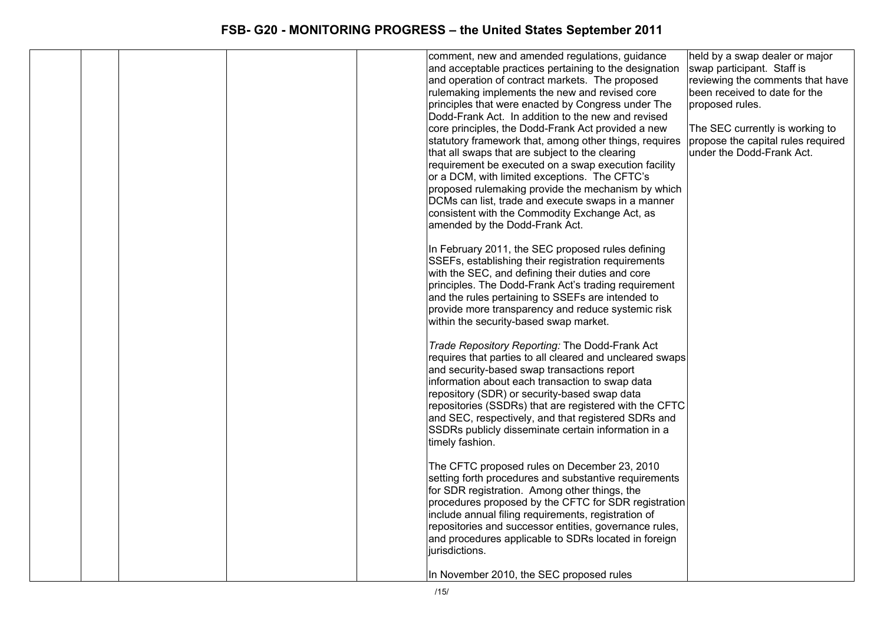|  |  | comment, new and amended regulations, guidance           | held by a swap dealer or major     |
|--|--|----------------------------------------------------------|------------------------------------|
|  |  | and acceptable practices pertaining to the designation   | swap participant. Staff is         |
|  |  | and operation of contract markets. The proposed          | reviewing the comments that have   |
|  |  | rulemaking implements the new and revised core           | been received to date for the      |
|  |  | principles that were enacted by Congress under The       | proposed rules.                    |
|  |  | Dodd-Frank Act. In addition to the new and revised       |                                    |
|  |  | core principles, the Dodd-Frank Act provided a new       | The SEC currently is working to    |
|  |  | statutory framework that, among other things, requires   | propose the capital rules required |
|  |  | that all swaps that are subject to the clearing          | under the Dodd-Frank Act.          |
|  |  | requirement be executed on a swap execution facility     |                                    |
|  |  | or a DCM, with limited exceptions. The CFTC's            |                                    |
|  |  | proposed rulemaking provide the mechanism by which       |                                    |
|  |  | DCMs can list, trade and execute swaps in a manner       |                                    |
|  |  | consistent with the Commodity Exchange Act, as           |                                    |
|  |  | amended by the Dodd-Frank Act.                           |                                    |
|  |  |                                                          |                                    |
|  |  | In February 2011, the SEC proposed rules defining        |                                    |
|  |  | SSEFs, establishing their registration requirements      |                                    |
|  |  | with the SEC, and defining their duties and core         |                                    |
|  |  | principles. The Dodd-Frank Act's trading requirement     |                                    |
|  |  | and the rules pertaining to SSEFs are intended to        |                                    |
|  |  | provide more transparency and reduce systemic risk       |                                    |
|  |  | within the security-based swap market.                   |                                    |
|  |  |                                                          |                                    |
|  |  | Trade Repository Reporting: The Dodd-Frank Act           |                                    |
|  |  | requires that parties to all cleared and uncleared swaps |                                    |
|  |  | and security-based swap transactions report              |                                    |
|  |  | information about each transaction to swap data          |                                    |
|  |  |                                                          |                                    |
|  |  | repository (SDR) or security-based swap data             |                                    |
|  |  | repositories (SSDRs) that are registered with the CFTC   |                                    |
|  |  | and SEC, respectively, and that registered SDRs and      |                                    |
|  |  | SSDRs publicly disseminate certain information in a      |                                    |
|  |  | timely fashion.                                          |                                    |
|  |  |                                                          |                                    |
|  |  | The CFTC proposed rules on December 23, 2010             |                                    |
|  |  | setting forth procedures and substantive requirements    |                                    |
|  |  | for SDR registration. Among other things, the            |                                    |
|  |  | procedures proposed by the CFTC for SDR registration     |                                    |
|  |  | include annual filing requirements, registration of      |                                    |
|  |  | repositories and successor entities, governance rules,   |                                    |
|  |  | and procedures applicable to SDRs located in foreign     |                                    |
|  |  | jurisdictions.                                           |                                    |
|  |  |                                                          |                                    |
|  |  | In November 2010, the SEC proposed rules                 |                                    |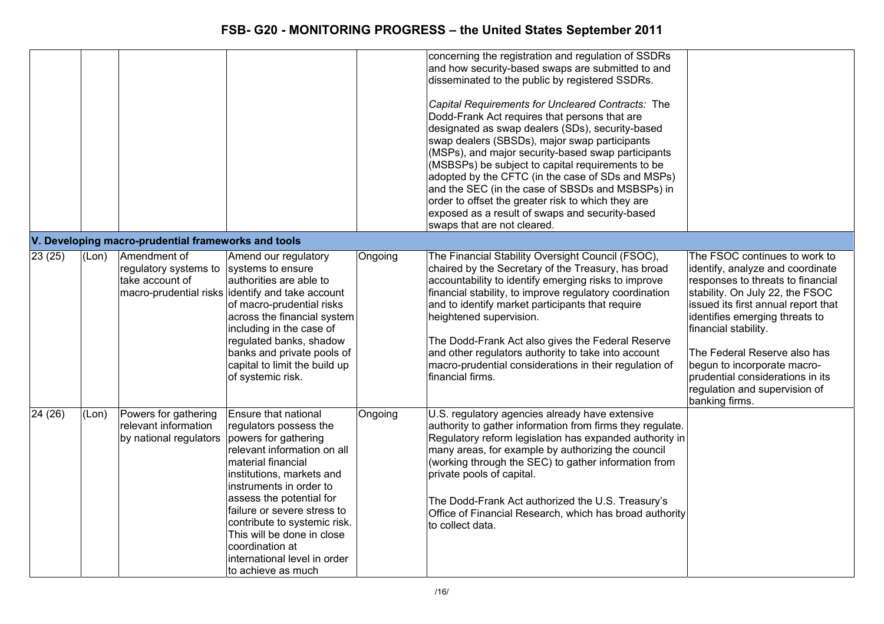|                  |       |                                                                        |                                                                                                                                                                                                                                                                                                                                                                                       |         | concerning the registration and regulation of SSDRs<br>and how security-based swaps are submitted to and<br>disseminated to the public by registered SSDRs.<br>Capital Requirements for Uncleared Contracts: The<br>Dodd-Frank Act requires that persons that are<br>designated as swap dealers (SDs), security-based<br>swap dealers (SBSDs), major swap participants<br>(MSPs), and major security-based swap participants<br>(MSBSPs) be subject to capital requirements to be<br>adopted by the CFTC (in the case of SDs and MSPs)<br>and the SEC (in the case of SBSDs and MSBSPs) in<br>order to offset the greater risk to which they are<br>exposed as a result of swaps and security-based<br>swaps that are not cleared. |                                                                                                                                                                                                                                                                                                                                                                                                  |
|------------------|-------|------------------------------------------------------------------------|---------------------------------------------------------------------------------------------------------------------------------------------------------------------------------------------------------------------------------------------------------------------------------------------------------------------------------------------------------------------------------------|---------|------------------------------------------------------------------------------------------------------------------------------------------------------------------------------------------------------------------------------------------------------------------------------------------------------------------------------------------------------------------------------------------------------------------------------------------------------------------------------------------------------------------------------------------------------------------------------------------------------------------------------------------------------------------------------------------------------------------------------------|--------------------------------------------------------------------------------------------------------------------------------------------------------------------------------------------------------------------------------------------------------------------------------------------------------------------------------------------------------------------------------------------------|
|                  |       | V. Developing macro-prudential frameworks and tools                    |                                                                                                                                                                                                                                                                                                                                                                                       |         |                                                                                                                                                                                                                                                                                                                                                                                                                                                                                                                                                                                                                                                                                                                                    |                                                                                                                                                                                                                                                                                                                                                                                                  |
| $\sqrt{23}$ (25) | (Lon) | Amendment of<br>regulatory systems to<br>take account of               | Amend our regulatory<br>systems to ensure<br>authorities are able to<br>macro-prudential risks identify and take account<br>of macro-prudential risks<br>across the financial system<br>including in the case of<br>regulated banks, shadow<br>banks and private pools of<br>capital to limit the build up<br>of systemic risk.                                                       | Ongoing | The Financial Stability Oversight Council (FSOC),<br>chaired by the Secretary of the Treasury, has broad<br>accountability to identify emerging risks to improve<br>financial stability, to improve regulatory coordination<br>and to identify market participants that require<br>heightened supervision.<br>The Dodd-Frank Act also gives the Federal Reserve<br>and other regulators authority to take into account<br>macro-prudential considerations in their regulation of<br>financial firms.                                                                                                                                                                                                                               | The FSOC continues to work to<br>identify, analyze and coordinate<br>responses to threats to financial<br>stability. On July 22, the FSOC<br>issued its first annual report that<br>identifies emerging threats to<br>financial stability.<br>The Federal Reserve also has<br>begun to incorporate macro-<br>prudential considerations in its<br>regulation and supervision of<br>banking firms. |
| 24 (26)          | (Lon) | Powers for gathering<br>relevant information<br>by national regulators | Ensure that national<br>regulators possess the<br>powers for gathering<br>relevant information on all<br>material financial<br>institutions, markets and<br>instruments in order to<br>assess the potential for<br>failure or severe stress to<br>contribute to systemic risk.<br>This will be done in close<br>coordination at<br>international level in order<br>to achieve as much | Ongoing | U.S. regulatory agencies already have extensive<br>authority to gather information from firms they regulate.<br>Regulatory reform legislation has expanded authority in<br>many areas, for example by authorizing the council<br>(working through the SEC) to gather information from<br>private pools of capital.<br>The Dodd-Frank Act authorized the U.S. Treasury's<br>Office of Financial Research, which has broad authority<br>to collect data.                                                                                                                                                                                                                                                                             |                                                                                                                                                                                                                                                                                                                                                                                                  |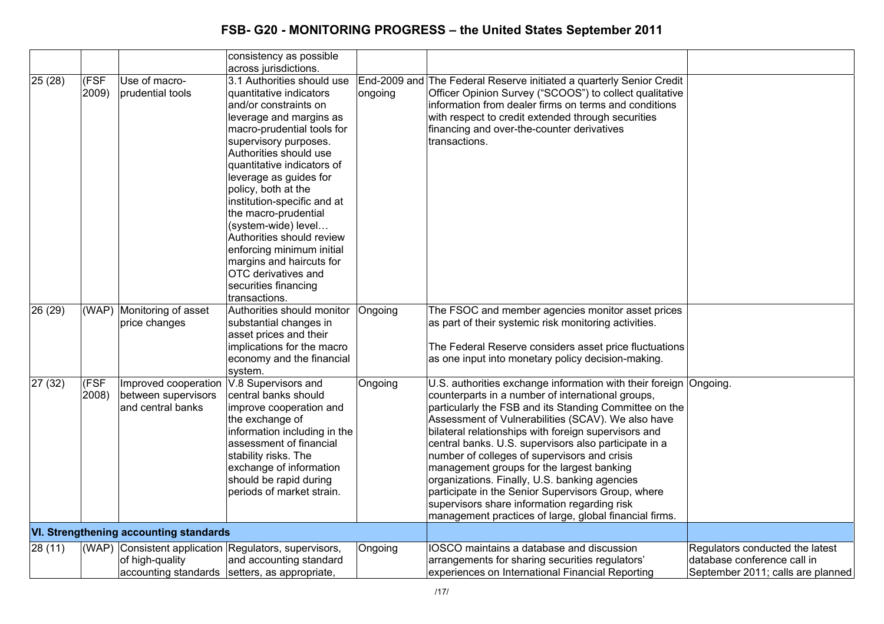|         |               |                                                                  | consistency as possible<br>across jurisdictions.                                                                                                                                                                                                                                                                                                                                                                                                                                                              |                         |                                                                                                                                                                                                                                                                                                                                                                                                                                                                                                                                                                                                                                                                       |                                                                                                     |
|---------|---------------|------------------------------------------------------------------|---------------------------------------------------------------------------------------------------------------------------------------------------------------------------------------------------------------------------------------------------------------------------------------------------------------------------------------------------------------------------------------------------------------------------------------------------------------------------------------------------------------|-------------------------|-----------------------------------------------------------------------------------------------------------------------------------------------------------------------------------------------------------------------------------------------------------------------------------------------------------------------------------------------------------------------------------------------------------------------------------------------------------------------------------------------------------------------------------------------------------------------------------------------------------------------------------------------------------------------|-----------------------------------------------------------------------------------------------------|
| 25(28)  | (FSF<br>2009) | Use of macro-<br>prudential tools                                | 3.1 Authorities should use<br>quantitative indicators<br>and/or constraints on<br>leverage and margins as<br>macro-prudential tools for<br>supervisory purposes.<br>Authorities should use<br>quantitative indicators of<br>leverage as guides for<br>policy, both at the<br>institution-specific and at<br>the macro-prudential<br>(system-wide) level<br>Authorities should review<br>enforcing minimum initial<br>margins and haircuts for<br>OTC derivatives and<br>securities financing<br>transactions. | End-2009 and<br>ongoing | The Federal Reserve initiated a quarterly Senior Credit<br>Officer Opinion Survey ("SCOOS") to collect qualitative<br>information from dealer firms on terms and conditions<br>with respect to credit extended through securities<br>financing and over-the-counter derivatives<br>transactions.                                                                                                                                                                                                                                                                                                                                                                      |                                                                                                     |
| 26 (29) | (WAP)         | Monitoring of asset<br>price changes                             | Authorities should monitor<br>substantial changes in<br>asset prices and their<br>implications for the macro<br>economy and the financial<br>system.                                                                                                                                                                                                                                                                                                                                                          | Ongoing                 | The FSOC and member agencies monitor asset prices<br>as part of their systemic risk monitoring activities.<br>The Federal Reserve considers asset price fluctuations<br>as one input into monetary policy decision-making.                                                                                                                                                                                                                                                                                                                                                                                                                                            |                                                                                                     |
| 27 (32) | (FSF<br>2008) | Improved cooperation<br>between supervisors<br>and central banks | V.8 Supervisors and<br>central banks should<br>improve cooperation and<br>the exchange of<br>information including in the<br>assessment of financial<br>stability risks. The<br>exchange of information<br>should be rapid during<br>periods of market strain.                                                                                                                                                                                                                                                | Ongoing                 | U.S. authorities exchange information with their foreign Ongoing.<br>counterparts in a number of international groups,<br>particularly the FSB and its Standing Committee on the<br>Assessment of Vulnerabilities (SCAV). We also have<br>bilateral relationships with foreign supervisors and<br>central banks. U.S. supervisors also participate in a<br>number of colleges of supervisors and crisis<br>management groups for the largest banking<br>organizations. Finally, U.S. banking agencies<br>participate in the Senior Supervisors Group, where<br>supervisors share information regarding risk<br>management practices of large, global financial firms. |                                                                                                     |
|         |               | <b>VI. Strengthening accounting standards</b>                    |                                                                                                                                                                                                                                                                                                                                                                                                                                                                                                               |                         |                                                                                                                                                                                                                                                                                                                                                                                                                                                                                                                                                                                                                                                                       |                                                                                                     |
| 28(11)  | (WAP)         | of high-quality                                                  | Consistent application Regulators, supervisors,<br>and accounting standard<br>accounting standards setters, as appropriate,                                                                                                                                                                                                                                                                                                                                                                                   | Ongoing                 | IOSCO maintains a database and discussion<br>arrangements for sharing securities regulators'<br>experiences on International Financial Reporting                                                                                                                                                                                                                                                                                                                                                                                                                                                                                                                      | Regulators conducted the latest<br>database conference call in<br>September 2011; calls are planned |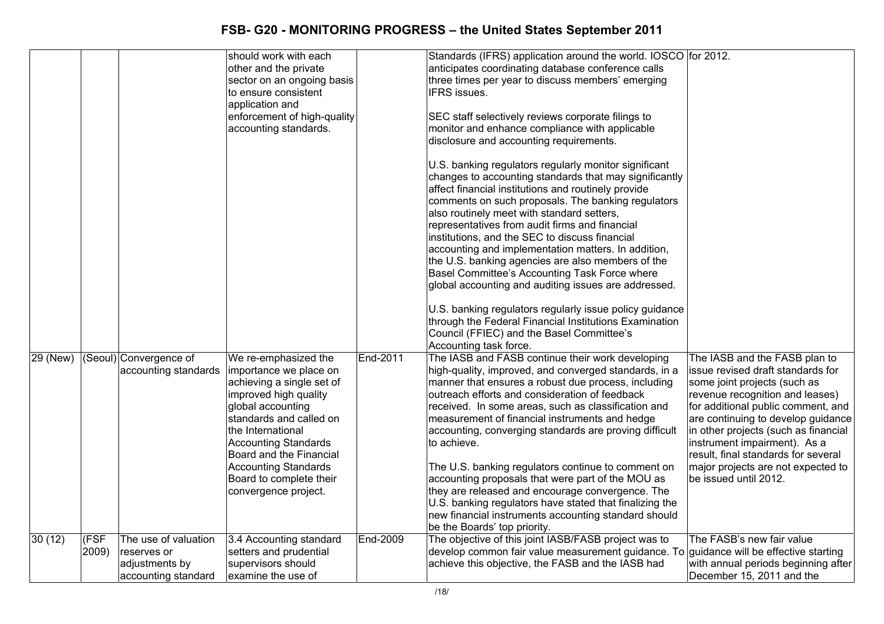|          |               |                                                                              | should work with each<br>other and the private<br>sector on an ongoing basis<br>to ensure consistent<br>application and<br>enforcement of high-quality<br>accounting standards.                                                                                                                                       |          | Standards (IFRS) application around the world. IOSCO for 2012.<br>anticipates coordinating database conference calls<br>three times per year to discuss members' emerging<br><b>IFRS</b> issues.<br>SEC staff selectively reviews corporate filings to<br>monitor and enhance compliance with applicable<br>disclosure and accounting requirements.<br>U.S. banking regulators regularly monitor significant<br>changes to accounting standards that may significantly<br>affect financial institutions and routinely provide<br>comments on such proposals. The banking regulators<br>also routinely meet with standard setters,<br>representatives from audit firms and financial<br>institutions, and the SEC to discuss financial<br>accounting and implementation matters. In addition,<br>the U.S. banking agencies are also members of the<br>Basel Committee's Accounting Task Force where<br>global accounting and auditing issues are addressed.<br>U.S. banking regulators regularly issue policy guidance<br>through the Federal Financial Institutions Examination<br>Council (FFIEC) and the Basel Committee's<br>Accounting task force. |                                                                                                                                                                                                                                                                                                                                                                                                 |
|----------|---------------|------------------------------------------------------------------------------|-----------------------------------------------------------------------------------------------------------------------------------------------------------------------------------------------------------------------------------------------------------------------------------------------------------------------|----------|--------------------------------------------------------------------------------------------------------------------------------------------------------------------------------------------------------------------------------------------------------------------------------------------------------------------------------------------------------------------------------------------------------------------------------------------------------------------------------------------------------------------------------------------------------------------------------------------------------------------------------------------------------------------------------------------------------------------------------------------------------------------------------------------------------------------------------------------------------------------------------------------------------------------------------------------------------------------------------------------------------------------------------------------------------------------------------------------------------------------------------------------------------|-------------------------------------------------------------------------------------------------------------------------------------------------------------------------------------------------------------------------------------------------------------------------------------------------------------------------------------------------------------------------------------------------|
| 29 (New) |               | (Seoul) Convergence of<br>accounting standards                               | We re-emphasized the<br>importance we place on<br>achieving a single set of<br>improved high quality<br>global accounting<br>standards and called on<br>the International<br><b>Accounting Standards</b><br>Board and the Financial<br><b>Accounting Standards</b><br>Board to complete their<br>convergence project. | End-2011 | The IASB and FASB continue their work developing<br>high-quality, improved, and converged standards, in a<br>manner that ensures a robust due process, including<br>outreach efforts and consideration of feedback<br>received. In some areas, such as classification and<br>measurement of financial instruments and hedge<br>accounting, converging standards are proving difficult<br>to achieve.<br>The U.S. banking regulators continue to comment on<br>accounting proposals that were part of the MOU as<br>they are released and encourage convergence. The<br>U.S. banking regulators have stated that finalizing the<br>new financial instruments accounting standard should<br>be the Boards' top priority.                                                                                                                                                                                                                                                                                                                                                                                                                                 | The IASB and the FASB plan to<br>issue revised draft standards for<br>some joint projects (such as<br>revenue recognition and leases)<br>for additional public comment, and<br>are continuing to develop guidance<br>in other projects (such as financial<br>instrument impairment). As a<br>result, final standards for several<br>major projects are not expected to<br>be issued until 2012. |
| 30(12)   | (FSF<br>2009) | The use of valuation<br>reserves or<br>adjustments by<br>accounting standard | 3.4 Accounting standard<br>setters and prudential<br>supervisors should<br>examine the use of                                                                                                                                                                                                                         | End-2009 | The objective of this joint IASB/FASB project was to<br>develop common fair value measurement guidance. To guidance will be effective starting<br>achieve this objective, the FASB and the IASB had                                                                                                                                                                                                                                                                                                                                                                                                                                                                                                                                                                                                                                                                                                                                                                                                                                                                                                                                                    | The FASB's new fair value<br>with annual periods beginning after<br>December 15, 2011 and the                                                                                                                                                                                                                                                                                                   |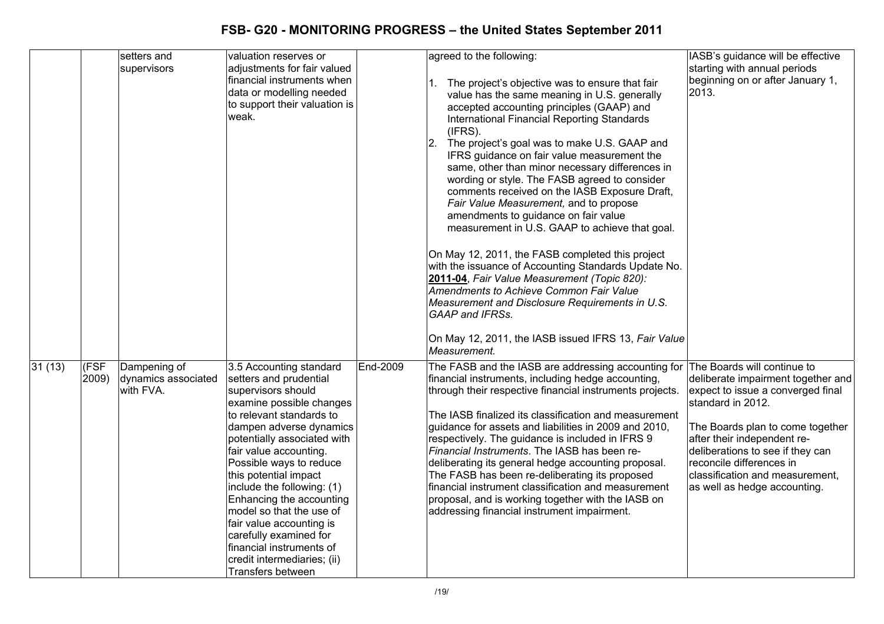|        |               | setters and<br>supervisors                       | valuation reserves or<br>adjustments for fair valued<br>financial instruments when<br>data or modelling needed<br>to support their valuation is<br>weak.                                                                                                                                                                                                                                                                                                                                            |          | agreed to the following:<br>The project's objective was to ensure that fair<br>value has the same meaning in U.S. generally<br>accepted accounting principles (GAAP) and<br>International Financial Reporting Standards<br>(IFRS).<br>The project's goal was to make U.S. GAAP and<br>12.<br>IFRS guidance on fair value measurement the<br>same, other than minor necessary differences in<br>wording or style. The FASB agreed to consider<br>comments received on the IASB Exposure Draft,<br>Fair Value Measurement, and to propose<br>amendments to guidance on fair value<br>measurement in U.S. GAAP to achieve that goal.<br>On May 12, 2011, the FASB completed this project<br>with the issuance of Accounting Standards Update No.<br>2011-04, Fair Value Measurement (Topic 820):<br>Amendments to Achieve Common Fair Value<br>Measurement and Disclosure Requirements in U.S.<br><b>GAAP</b> and IFRSs. | IASB's guidance will be effective<br>starting with annual periods<br>beginning on or after January 1,<br>2013.                                                                                                                                                                                                                    |
|--------|---------------|--------------------------------------------------|-----------------------------------------------------------------------------------------------------------------------------------------------------------------------------------------------------------------------------------------------------------------------------------------------------------------------------------------------------------------------------------------------------------------------------------------------------------------------------------------------------|----------|-----------------------------------------------------------------------------------------------------------------------------------------------------------------------------------------------------------------------------------------------------------------------------------------------------------------------------------------------------------------------------------------------------------------------------------------------------------------------------------------------------------------------------------------------------------------------------------------------------------------------------------------------------------------------------------------------------------------------------------------------------------------------------------------------------------------------------------------------------------------------------------------------------------------------|-----------------------------------------------------------------------------------------------------------------------------------------------------------------------------------------------------------------------------------------------------------------------------------------------------------------------------------|
|        |               |                                                  |                                                                                                                                                                                                                                                                                                                                                                                                                                                                                                     |          | On May 12, 2011, the IASB issued IFRS 13, Fair Value<br>Measurement.                                                                                                                                                                                                                                                                                                                                                                                                                                                                                                                                                                                                                                                                                                                                                                                                                                                  |                                                                                                                                                                                                                                                                                                                                   |
| 31(13) | (FSF<br>2009) | Dampening of<br>dynamics associated<br>with FVA. | 3.5 Accounting standard<br>setters and prudential<br>supervisors should<br>examine possible changes<br>to relevant standards to<br>dampen adverse dynamics<br>potentially associated with<br>fair value accounting.<br>Possible ways to reduce<br>this potential impact<br>include the following: (1)<br>Enhancing the accounting<br>model so that the use of<br>fair value accounting is<br>carefully examined for<br>financial instruments of<br>credit intermediaries; (ii)<br>Transfers between | End-2009 | The FASB and the IASB are addressing accounting for<br>financial instruments, including hedge accounting,<br>through their respective financial instruments projects.<br>The IASB finalized its classification and measurement<br>guidance for assets and liabilities in 2009 and 2010,<br>respectively. The guidance is included in IFRS 9<br>Financial Instruments. The IASB has been re-<br>deliberating its general hedge accounting proposal.<br>The FASB has been re-deliberating its proposed<br>financial instrument classification and measurement<br>proposal, and is working together with the IASB on<br>addressing financial instrument impairment.                                                                                                                                                                                                                                                      | The Boards will continue to<br>deliberate impairment together and<br>expect to issue a converged final<br>standard in 2012.<br>The Boards plan to come together<br>after their independent re-<br>deliberations to see if they can<br>reconcile differences in<br>classification and measurement,<br>as well as hedge accounting. |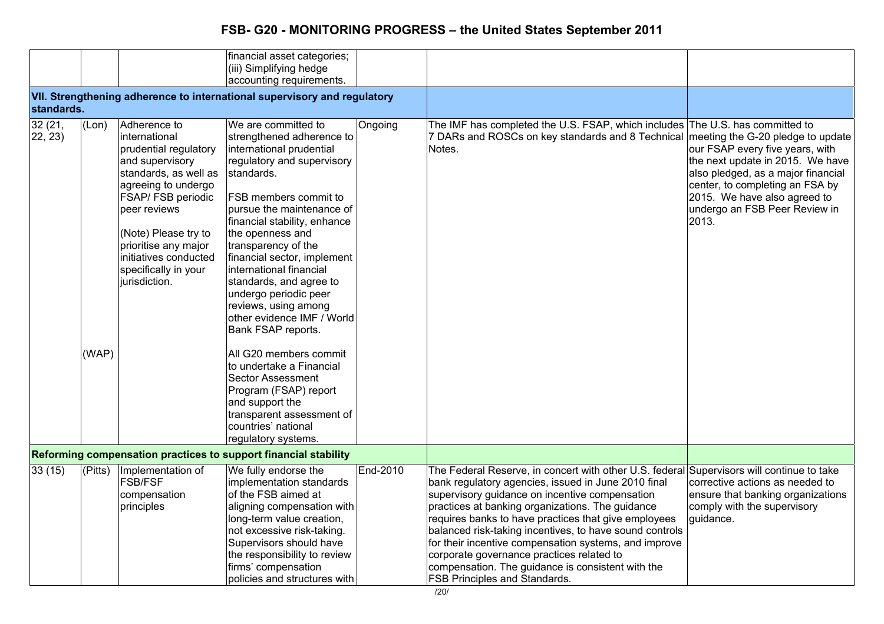|                   |       |                                                                                                                                                                                                                                                                                          | financial asset categories;<br>(iii) Simplifying hedge<br>accounting requirements.                                                                                                                                                                                                                                                                                                                                                                         |          |                                                                                                                                                                                                                                                                                                                                                                                                                                                                                                                                                                              |                                                                                                                                                                                                                                                             |
|-------------------|-------|------------------------------------------------------------------------------------------------------------------------------------------------------------------------------------------------------------------------------------------------------------------------------------------|------------------------------------------------------------------------------------------------------------------------------------------------------------------------------------------------------------------------------------------------------------------------------------------------------------------------------------------------------------------------------------------------------------------------------------------------------------|----------|------------------------------------------------------------------------------------------------------------------------------------------------------------------------------------------------------------------------------------------------------------------------------------------------------------------------------------------------------------------------------------------------------------------------------------------------------------------------------------------------------------------------------------------------------------------------------|-------------------------------------------------------------------------------------------------------------------------------------------------------------------------------------------------------------------------------------------------------------|
| standards.        |       |                                                                                                                                                                                                                                                                                          | VII. Strengthening adherence to international supervisory and regulatory                                                                                                                                                                                                                                                                                                                                                                                   |          |                                                                                                                                                                                                                                                                                                                                                                                                                                                                                                                                                                              |                                                                                                                                                                                                                                                             |
| 32(21,<br>22, 23) | (Lon) | Adherence to<br>linternational<br>prudential regulatory<br>and supervisory<br>standards, as well as<br>agreeing to undergo<br><b>FSAP/FSB periodic</b><br>peer reviews<br>(Note) Please try to<br>prioritise any major<br>initiatives conducted<br>specifically in your<br>jurisdiction. | We are committed to<br>strengthened adherence to<br>international prudential<br>regulatory and supervisory<br>standards.<br><b>FSB members commit to</b><br>pursue the maintenance of<br>financial stability, enhance<br>the openness and<br>transparency of the<br>financial sector, implement<br>international financial<br>standards, and agree to<br>undergo periodic peer<br>reviews, using among<br>other evidence IMF / World<br>Bank FSAP reports. | Ongoing  | The IMF has completed the U.S. FSAP, which includes The U.S. has committed to<br>7 DARs and ROSCs on key standards and 8 Technical<br>Notes.                                                                                                                                                                                                                                                                                                                                                                                                                                 | meeting the G-20 pledge to update<br>our FSAP every five years, with<br>the next update in 2015. We have<br>also pledged, as a major financial<br>center, to completing an FSA by<br>2015. We have also agreed to<br>undergo an FSB Peer Review in<br>2013. |
|                   | (WAP) |                                                                                                                                                                                                                                                                                          | All G20 members commit<br>to undertake a Financial<br><b>Sector Assessment</b><br>Program (FSAP) report<br>and support the<br>transparent assessment of<br>countries' national<br>regulatory systems.                                                                                                                                                                                                                                                      |          |                                                                                                                                                                                                                                                                                                                                                                                                                                                                                                                                                                              |                                                                                                                                                                                                                                                             |
|                   |       |                                                                                                                                                                                                                                                                                          | Reforming compensation practices to support financial stability                                                                                                                                                                                                                                                                                                                                                                                            |          |                                                                                                                                                                                                                                                                                                                                                                                                                                                                                                                                                                              |                                                                                                                                                                                                                                                             |
| 33(15)            |       | (Pitts) Implementation of<br><b>FSB/FSF</b><br>compensation<br>principles                                                                                                                                                                                                                | We fully endorse the<br>implementation standards<br>of the FSB aimed at<br>aligning compensation with<br>long-term value creation,<br>not excessive risk-taking.<br>Supervisors should have<br>the responsibility to review<br>firms' compensation<br>policies and structures with                                                                                                                                                                         | End-2010 | The Federal Reserve, in concert with other U.S. federal Supervisors will continue to take<br>bank regulatory agencies, issued in June 2010 final<br>supervisory guidance on incentive compensation<br>practices at banking organizations. The guidance<br>requires banks to have practices that give employees<br>balanced risk-taking incentives, to have sound controls<br>for their incentive compensation systems, and improve<br>corporate governance practices related to<br>compensation. The guidance is consistent with the<br><b>FSB Principles and Standards.</b> | corrective actions as needed to<br>ensure that banking organizations<br>comply with the supervisory<br>guidance.                                                                                                                                            |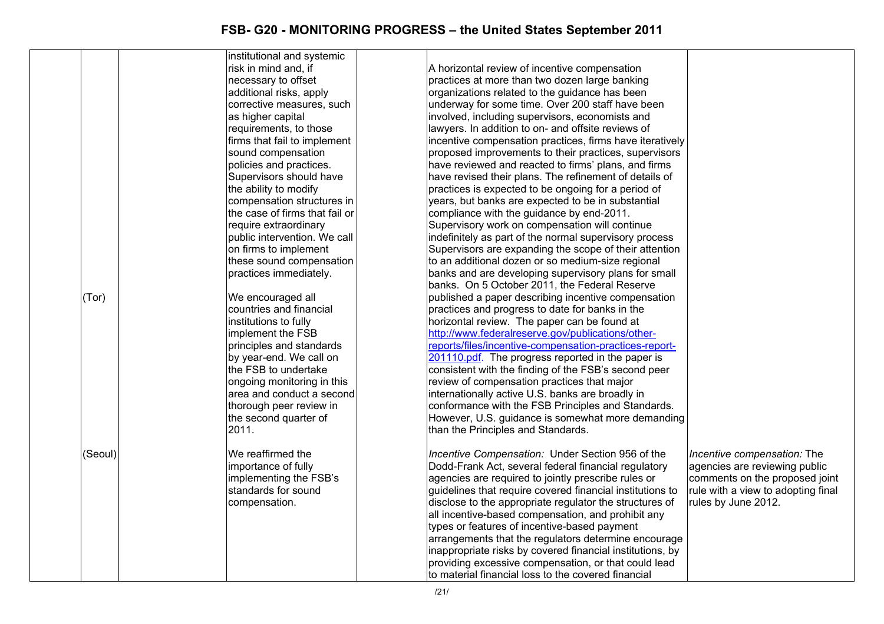|         | institutional and systemic     |                                                                                                    |                                    |
|---------|--------------------------------|----------------------------------------------------------------------------------------------------|------------------------------------|
|         | risk in mind and, if           | A horizontal review of incentive compensation                                                      |                                    |
|         | necessary to offset            | practices at more than two dozen large banking                                                     |                                    |
|         | additional risks, apply        | organizations related to the guidance has been                                                     |                                    |
|         | corrective measures, such      | underway for some time. Over 200 staff have been                                                   |                                    |
|         | as higher capital              | involved, including supervisors, economists and                                                    |                                    |
|         | requirements, to those         | lawyers. In addition to on- and offsite reviews of                                                 |                                    |
|         |                                |                                                                                                    |                                    |
|         | firms that fail to implement   | incentive compensation practices, firms have iteratively                                           |                                    |
|         | sound compensation             | proposed improvements to their practices, supervisors                                              |                                    |
|         | policies and practices.        | have reviewed and reacted to firms' plans, and firms                                               |                                    |
|         | Supervisors should have        | have revised their plans. The refinement of details of                                             |                                    |
|         | the ability to modify          | practices is expected to be ongoing for a period of                                                |                                    |
|         | compensation structures in     | years, but banks are expected to be in substantial                                                 |                                    |
|         | the case of firms that fail or | compliance with the guidance by end-2011.                                                          |                                    |
|         | require extraordinary          | Supervisory work on compensation will continue                                                     |                                    |
|         | public intervention. We call   | indefinitely as part of the normal supervisory process                                             |                                    |
|         | on firms to implement          | Supervisors are expanding the scope of their attention                                             |                                    |
|         | these sound compensation       | to an additional dozen or so medium-size regional                                                  |                                    |
|         | practices immediately.         | banks and are developing supervisory plans for small                                               |                                    |
|         |                                | banks. On 5 October 2011, the Federal Reserve                                                      |                                    |
| (Tor)   | We encouraged all              | published a paper describing incentive compensation                                                |                                    |
|         | countries and financial        | practices and progress to date for banks in the                                                    |                                    |
|         | institutions to fully          | horizontal review. The paper can be found at                                                       |                                    |
|         | implement the FSB              | http://www.federalreserve.gov/publications/other-                                                  |                                    |
|         | principles and standards       | reports/files/incentive-compensation-practices-report-                                             |                                    |
|         | by year-end. We call on        | 201110.pdf. The progress reported in the paper is                                                  |                                    |
|         | the FSB to undertake           | consistent with the finding of the FSB's second peer                                               |                                    |
|         | ongoing monitoring in this     | review of compensation practices that major                                                        |                                    |
|         | area and conduct a second      | internationally active U.S. banks are broadly in                                                   |                                    |
|         | thorough peer review in        | conformance with the FSB Principles and Standards.                                                 |                                    |
|         | the second quarter of          | However, U.S. guidance is somewhat more demanding                                                  |                                    |
|         | 2011.                          | than the Principles and Standards.                                                                 |                                    |
|         |                                |                                                                                                    |                                    |
| (Seoul) | We reaffirmed the              | Incentive Compensation: Under Section 956 of the                                                   | Incentive compensation: The        |
|         | importance of fully            | Dodd-Frank Act, several federal financial regulatory                                               | agencies are reviewing public      |
|         | implementing the FSB's         | agencies are required to jointly prescribe rules or                                                | comments on the proposed joint     |
|         | standards for sound            | guidelines that require covered financial institutions to                                          | rule with a view to adopting final |
|         | compensation.                  | disclose to the appropriate regulator the structures of                                            | rules by June 2012.                |
|         |                                |                                                                                                    |                                    |
|         |                                | all incentive-based compensation, and prohibit any<br>types or features of incentive-based payment |                                    |
|         |                                |                                                                                                    |                                    |
|         |                                | arrangements that the regulators determine encourage                                               |                                    |
|         |                                | inappropriate risks by covered financial institutions, by                                          |                                    |
|         |                                | providing excessive compensation, or that could lead                                               |                                    |
|         |                                | to material financial loss to the covered financial                                                |                                    |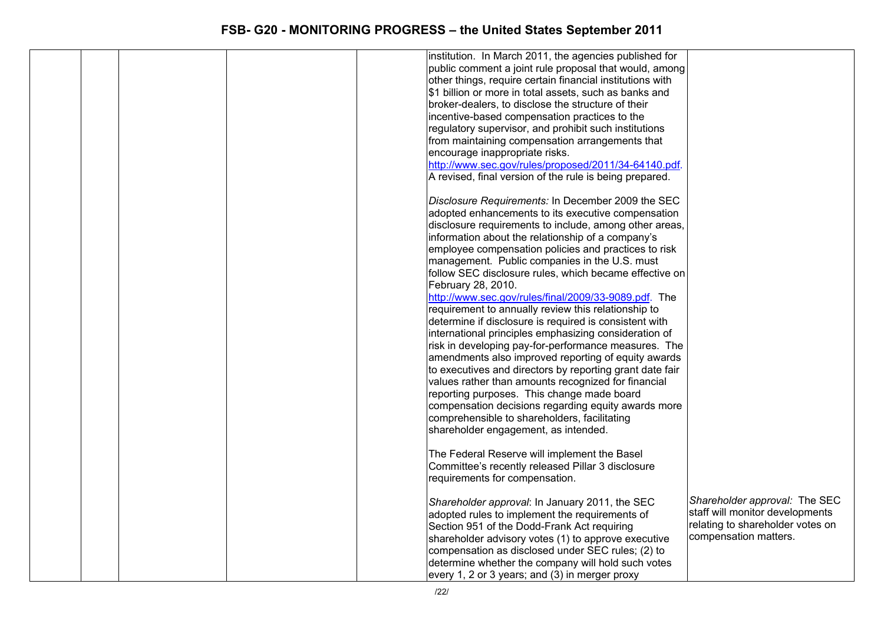|  |  | institution. In March 2011, the agencies published for    |                                  |
|--|--|-----------------------------------------------------------|----------------------------------|
|  |  | public comment a joint rule proposal that would, among    |                                  |
|  |  | other things, require certain financial institutions with |                                  |
|  |  | \$1 billion or more in total assets, such as banks and    |                                  |
|  |  | broker-dealers, to disclose the structure of their        |                                  |
|  |  | incentive-based compensation practices to the             |                                  |
|  |  | regulatory supervisor, and prohibit such institutions     |                                  |
|  |  | from maintaining compensation arrangements that           |                                  |
|  |  | encourage inappropriate risks.                            |                                  |
|  |  | http://www.sec.gov/rules/proposed/2011/34-64140.pdf.      |                                  |
|  |  | A revised, final version of the rule is being prepared.   |                                  |
|  |  |                                                           |                                  |
|  |  | Disclosure Requirements: In December 2009 the SEC         |                                  |
|  |  | adopted enhancements to its executive compensation        |                                  |
|  |  | disclosure requirements to include, among other areas,    |                                  |
|  |  | information about the relationship of a company's         |                                  |
|  |  | employee compensation policies and practices to risk      |                                  |
|  |  | management. Public companies in the U.S. must             |                                  |
|  |  | follow SEC disclosure rules, which became effective on    |                                  |
|  |  | February 28, 2010.                                        |                                  |
|  |  | http://www.sec.gov/rules/final/2009/33-9089.pdf. The      |                                  |
|  |  | requirement to annually review this relationship to       |                                  |
|  |  | determine if disclosure is required is consistent with    |                                  |
|  |  |                                                           |                                  |
|  |  | international principles emphasizing consideration of     |                                  |
|  |  | risk in developing pay-for-performance measures. The      |                                  |
|  |  | amendments also improved reporting of equity awards       |                                  |
|  |  | to executives and directors by reporting grant date fair  |                                  |
|  |  | values rather than amounts recognized for financial       |                                  |
|  |  | reporting purposes. This change made board                |                                  |
|  |  | compensation decisions regarding equity awards more       |                                  |
|  |  | comprehensible to shareholders, facilitating              |                                  |
|  |  | shareholder engagement, as intended.                      |                                  |
|  |  |                                                           |                                  |
|  |  | The Federal Reserve will implement the Basel              |                                  |
|  |  | Committee's recently released Pillar 3 disclosure         |                                  |
|  |  | requirements for compensation.                            |                                  |
|  |  |                                                           |                                  |
|  |  | Shareholder approval: In January 2011, the SEC            | Shareholder approval: The SEC    |
|  |  | adopted rules to implement the requirements of            | staff will monitor developments  |
|  |  | Section 951 of the Dodd-Frank Act requiring               | relating to shareholder votes on |
|  |  | shareholder advisory votes (1) to approve executive       | compensation matters.            |
|  |  | compensation as disclosed under SEC rules; (2) to         |                                  |
|  |  | determine whether the company will hold such votes        |                                  |
|  |  | every 1, 2 or 3 years; and (3) in merger proxy            |                                  |
|  |  |                                                           |                                  |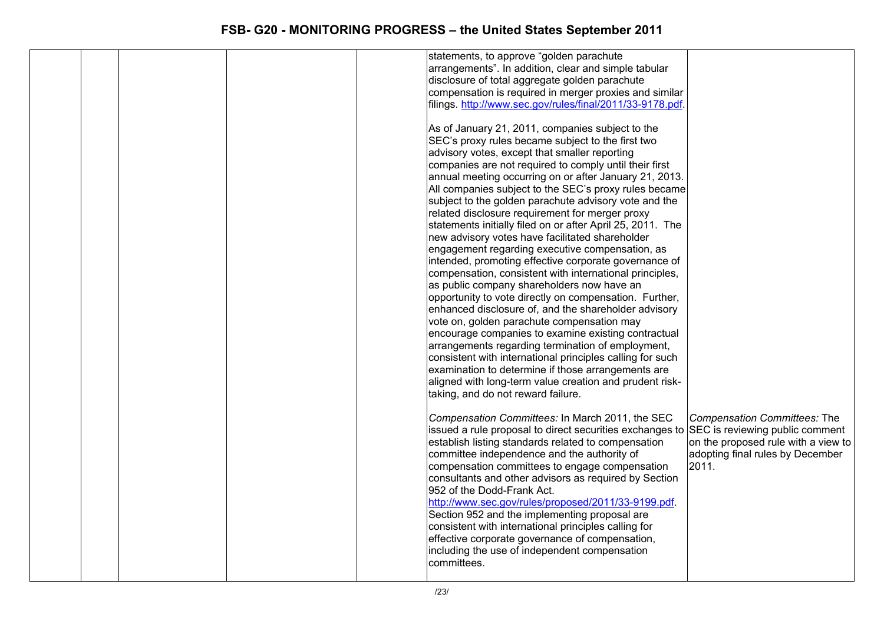|  |  | statements, to approve "golden parachute<br>arrangements". In addition, clear and simple tabular<br>disclosure of total aggregate golden parachute<br>compensation is required in merger proxies and similar<br>filings. http://www.sec.gov/rules/final/2011/33-9178.pdf.<br>As of January 21, 2011, companies subject to the<br>SEC's proxy rules became subject to the first two<br>advisory votes, except that smaller reporting<br>companies are not required to comply until their first<br>annual meeting occurring on or after January 21, 2013.<br>All companies subject to the SEC's proxy rules became<br>subject to the golden parachute advisory vote and the<br>related disclosure requirement for merger proxy<br>statements initially filed on or after April 25, 2011. The<br>new advisory votes have facilitated shareholder<br>engagement regarding executive compensation, as<br>intended, promoting effective corporate governance of<br>compensation, consistent with international principles,<br>as public company shareholders now have an<br>opportunity to vote directly on compensation. Further,<br>enhanced disclosure of, and the shareholder advisory<br>vote on, golden parachute compensation may<br>encourage companies to examine existing contractual<br>arrangements regarding termination of employment,<br>consistent with international principles calling for such<br>examination to determine if those arrangements are<br>aligned with long-term value creation and prudent risk-<br>taking, and do not reward failure.<br>Compensation Committees: In March 2011, the SEC | Compensation Committees: The                                                     |
|--|--|-----------------------------------------------------------------------------------------------------------------------------------------------------------------------------------------------------------------------------------------------------------------------------------------------------------------------------------------------------------------------------------------------------------------------------------------------------------------------------------------------------------------------------------------------------------------------------------------------------------------------------------------------------------------------------------------------------------------------------------------------------------------------------------------------------------------------------------------------------------------------------------------------------------------------------------------------------------------------------------------------------------------------------------------------------------------------------------------------------------------------------------------------------------------------------------------------------------------------------------------------------------------------------------------------------------------------------------------------------------------------------------------------------------------------------------------------------------------------------------------------------------------------------------------------------------------------------------------------------------------------|----------------------------------------------------------------------------------|
|  |  | issued a rule proposal to direct securities exchanges to SEC is reviewing public comment<br>establish listing standards related to compensation<br>committee independence and the authority of<br>compensation committees to engage compensation<br>consultants and other advisors as required by Section<br>952 of the Dodd-Frank Act.<br>http://www.sec.gov/rules/proposed/2011/33-9199.pdf.<br>Section 952 and the implementing proposal are<br>consistent with international principles calling for<br>effective corporate governance of compensation,<br>including the use of independent compensation<br>committees.                                                                                                                                                                                                                                                                                                                                                                                                                                                                                                                                                                                                                                                                                                                                                                                                                                                                                                                                                                                            | on the proposed rule with a view to<br>adopting final rules by December<br>2011. |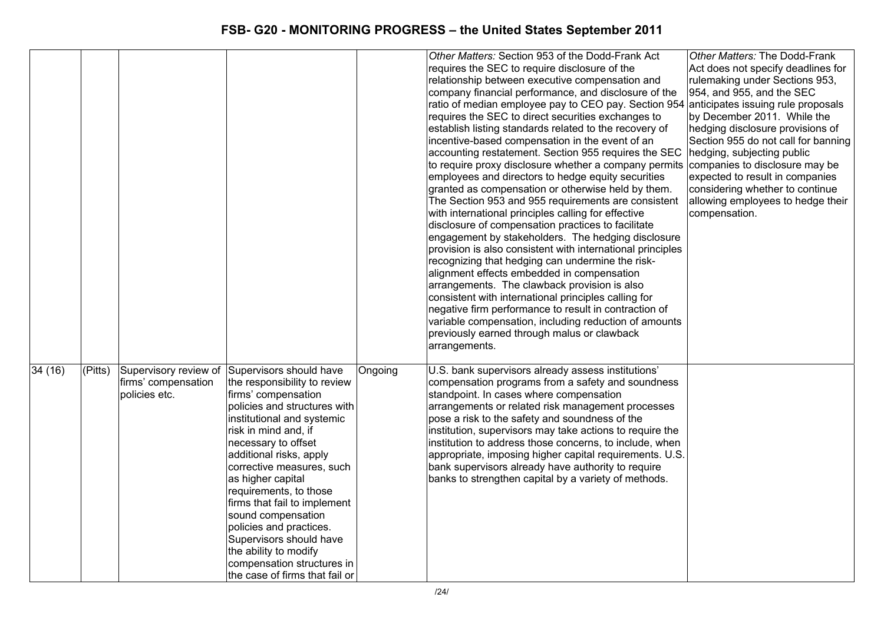|        |         |                                      |                                                                                                                                                                                                                                                                                                                                                                                                                                                                                                                               |         | Other Matters: Section 953 of the Dodd-Frank Act<br>requires the SEC to require disclosure of the<br>relationship between executive compensation and<br>company financial performance, and disclosure of the<br>ratio of median employee pay to CEO pay. Section 954<br>requires the SEC to direct securities exchanges to<br>establish listing standards related to the recovery of<br>incentive-based compensation in the event of an<br>accounting restatement. Section 955 requires the SEC<br>to require proxy disclosure whether a company permits<br>employees and directors to hedge equity securities<br>granted as compensation or otherwise held by them.<br>The Section 953 and 955 requirements are consistent<br>with international principles calling for effective<br>disclosure of compensation practices to facilitate<br>engagement by stakeholders. The hedging disclosure<br>provision is also consistent with international principles | Other Matters: The Dodd-Frank<br>Act does not specify deadlines for<br>rulemaking under Sections 953,<br>954, and 955, and the SEC<br>anticipates issuing rule proposals<br>by December 2011. While the<br>hedging disclosure provisions of<br>Section 955 do not call for banning<br>hedging, subjecting public<br>companies to disclosure may be<br>expected to result in companies<br>considering whether to continue<br>allowing employees to hedge their<br>compensation. |
|--------|---------|--------------------------------------|-------------------------------------------------------------------------------------------------------------------------------------------------------------------------------------------------------------------------------------------------------------------------------------------------------------------------------------------------------------------------------------------------------------------------------------------------------------------------------------------------------------------------------|---------|--------------------------------------------------------------------------------------------------------------------------------------------------------------------------------------------------------------------------------------------------------------------------------------------------------------------------------------------------------------------------------------------------------------------------------------------------------------------------------------------------------------------------------------------------------------------------------------------------------------------------------------------------------------------------------------------------------------------------------------------------------------------------------------------------------------------------------------------------------------------------------------------------------------------------------------------------------------|--------------------------------------------------------------------------------------------------------------------------------------------------------------------------------------------------------------------------------------------------------------------------------------------------------------------------------------------------------------------------------------------------------------------------------------------------------------------------------|
|        |         |                                      |                                                                                                                                                                                                                                                                                                                                                                                                                                                                                                                               |         | recognizing that hedging can undermine the risk-<br>alignment effects embedded in compensation<br>arrangements. The clawback provision is also<br>consistent with international principles calling for                                                                                                                                                                                                                                                                                                                                                                                                                                                                                                                                                                                                                                                                                                                                                       |                                                                                                                                                                                                                                                                                                                                                                                                                                                                                |
|        |         |                                      |                                                                                                                                                                                                                                                                                                                                                                                                                                                                                                                               |         | negative firm performance to result in contraction of<br>variable compensation, including reduction of amounts<br>previously earned through malus or clawback<br>arrangements.                                                                                                                                                                                                                                                                                                                                                                                                                                                                                                                                                                                                                                                                                                                                                                               |                                                                                                                                                                                                                                                                                                                                                                                                                                                                                |
| 34(16) | (Pitts) | firms' compensation<br>policies etc. | Supervisory review of Supervisors should have<br>the responsibility to review<br>firms' compensation<br>policies and structures with<br>institutional and systemic<br>risk in mind and, if<br>necessary to offset<br>additional risks, apply<br>corrective measures, such<br>as higher capital<br>requirements, to those<br>firms that fail to implement<br>sound compensation<br>policies and practices.<br>Supervisors should have<br>the ability to modify<br>compensation structures in<br>the case of firms that fail or | Ongoing | U.S. bank supervisors already assess institutions'<br>compensation programs from a safety and soundness<br>standpoint. In cases where compensation<br>arrangements or related risk management processes<br>pose a risk to the safety and soundness of the<br>institution, supervisors may take actions to require the<br>institution to address those concerns, to include, when<br>appropriate, imposing higher capital requirements. U.S.<br>bank supervisors already have authority to require<br>banks to strengthen capital by a variety of methods.                                                                                                                                                                                                                                                                                                                                                                                                    |                                                                                                                                                                                                                                                                                                                                                                                                                                                                                |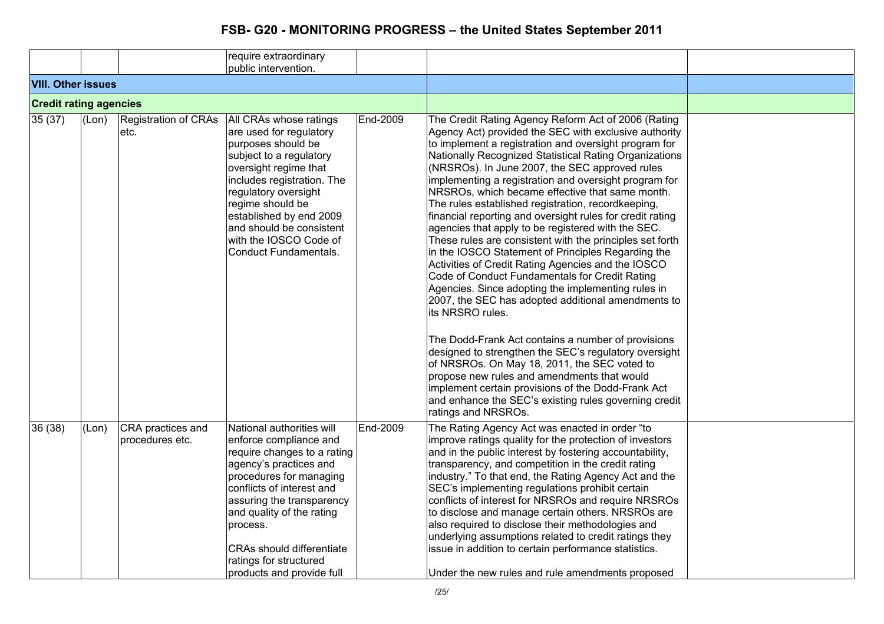|                               |       |                                      | require extraordinary                                                                                                                                                                                                                                                                                                                 |                 |                                                                                                                                                                                                                                                                                                                                                                                                                                                                                                                                                                                                                                                                                                                                                                                                                                                                                                                                                                                                                                                                                                                                                                                                                                                                                      |  |
|-------------------------------|-------|--------------------------------------|---------------------------------------------------------------------------------------------------------------------------------------------------------------------------------------------------------------------------------------------------------------------------------------------------------------------------------------|-----------------|--------------------------------------------------------------------------------------------------------------------------------------------------------------------------------------------------------------------------------------------------------------------------------------------------------------------------------------------------------------------------------------------------------------------------------------------------------------------------------------------------------------------------------------------------------------------------------------------------------------------------------------------------------------------------------------------------------------------------------------------------------------------------------------------------------------------------------------------------------------------------------------------------------------------------------------------------------------------------------------------------------------------------------------------------------------------------------------------------------------------------------------------------------------------------------------------------------------------------------------------------------------------------------------|--|
|                               |       |                                      | public intervention.                                                                                                                                                                                                                                                                                                                  |                 |                                                                                                                                                                                                                                                                                                                                                                                                                                                                                                                                                                                                                                                                                                                                                                                                                                                                                                                                                                                                                                                                                                                                                                                                                                                                                      |  |
| <b>VIII. Other issues</b>     |       |                                      |                                                                                                                                                                                                                                                                                                                                       |                 |                                                                                                                                                                                                                                                                                                                                                                                                                                                                                                                                                                                                                                                                                                                                                                                                                                                                                                                                                                                                                                                                                                                                                                                                                                                                                      |  |
| <b>Credit rating agencies</b> |       |                                      |                                                                                                                                                                                                                                                                                                                                       |                 |                                                                                                                                                                                                                                                                                                                                                                                                                                                                                                                                                                                                                                                                                                                                                                                                                                                                                                                                                                                                                                                                                                                                                                                                                                                                                      |  |
| 35(37)                        | (Lon) | Registration of CRAs<br>etc.         | All CRAs whose ratings<br>are used for regulatory<br>purposes should be<br>subject to a regulatory<br>oversight regime that<br>includes registration. The<br>regulatory oversight<br>regime should be<br>established by end 2009<br>and should be consistent<br>with the IOSCO Code of<br>Conduct Fundamentals.                       | End-2009        | The Credit Rating Agency Reform Act of 2006 (Rating<br>Agency Act) provided the SEC with exclusive authority<br>to implement a registration and oversight program for<br>Nationally Recognized Statistical Rating Organizations<br>(NRSROs). In June 2007, the SEC approved rules<br>implementing a registration and oversight program for<br>NRSROs, which became effective that same month.<br>The rules established registration, recordkeeping,<br>financial reporting and oversight rules for credit rating<br>agencies that apply to be registered with the SEC.<br>These rules are consistent with the principles set forth<br>in the IOSCO Statement of Principles Regarding the<br>Activities of Credit Rating Agencies and the IOSCO<br>Code of Conduct Fundamentals for Credit Rating<br>Agencies. Since adopting the implementing rules in<br>2007, the SEC has adopted additional amendments to<br>its NRSRO rules.<br>The Dodd-Frank Act contains a number of provisions<br>designed to strengthen the SEC's regulatory oversight<br>of NRSROs. On May 18, 2011, the SEC voted to<br>propose new rules and amendments that would<br>implement certain provisions of the Dodd-Frank Act<br>and enhance the SEC's existing rules governing credit<br>ratings and NRSROs. |  |
| 36(38)                        | (Lon) | CRA practices and<br>procedures etc. | National authorities will<br>enforce compliance and<br>require changes to a rating<br>agency's practices and<br>procedures for managing<br>conflicts of interest and<br>assuring the transparency<br>and quality of the rating<br>process.<br><b>CRAs should differentiate</b><br>ratings for structured<br>products and provide full | <b>End-2009</b> | The Rating Agency Act was enacted in order "to<br>improve ratings quality for the protection of investors<br>and in the public interest by fostering accountability,<br>transparency, and competition in the credit rating<br>industry." To that end, the Rating Agency Act and the<br>SEC's implementing regulations prohibit certain<br>conflicts of interest for NRSROs and require NRSROs<br>to disclose and manage certain others. NRSROs are<br>also required to disclose their methodologies and<br>underlying assumptions related to credit ratings they<br>issue in addition to certain performance statistics.<br>Under the new rules and rule amendments proposed                                                                                                                                                                                                                                                                                                                                                                                                                                                                                                                                                                                                         |  |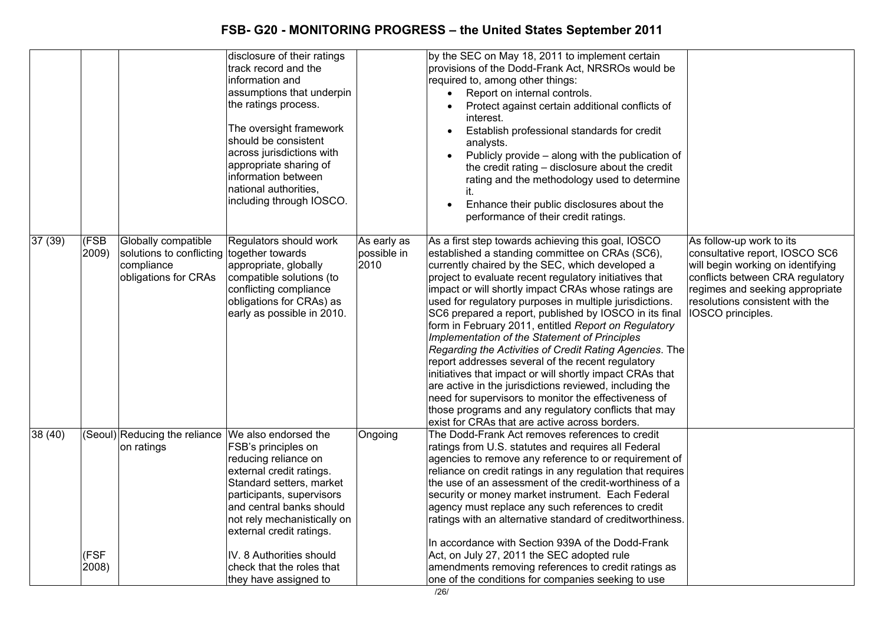|         |               |                                                                                                        | disclosure of their ratings                                                                                                                                                                                                                                                                               |                                    | by the SEC on May 18, 2011 to implement certain                                                                                                                                                                                                                                                                                                                                                                                                                                                                                                                                                                                                                                                                                                                                                                                                                                                                                                                                                                                                                                                                                                     |
|---------|---------------|--------------------------------------------------------------------------------------------------------|-----------------------------------------------------------------------------------------------------------------------------------------------------------------------------------------------------------------------------------------------------------------------------------------------------------|------------------------------------|-----------------------------------------------------------------------------------------------------------------------------------------------------------------------------------------------------------------------------------------------------------------------------------------------------------------------------------------------------------------------------------------------------------------------------------------------------------------------------------------------------------------------------------------------------------------------------------------------------------------------------------------------------------------------------------------------------------------------------------------------------------------------------------------------------------------------------------------------------------------------------------------------------------------------------------------------------------------------------------------------------------------------------------------------------------------------------------------------------------------------------------------------------|
|         |               |                                                                                                        | track record and the<br>information and<br>assumptions that underpin<br>the ratings process.<br>The oversight framework<br>should be consistent<br>across jurisdictions with<br>appropriate sharing of<br>information between<br>national authorities,<br>including through IOSCO.                        |                                    | provisions of the Dodd-Frank Act, NRSROs would be<br>required to, among other things:<br>Report on internal controls.<br>$\bullet$<br>Protect against certain additional conflicts of<br>interest.<br>Establish professional standards for credit<br>$\bullet$<br>analysts.<br>Publicly provide - along with the publication of<br>$\bullet$<br>the credit rating - disclosure about the credit<br>rating and the methodology used to determine<br>it.<br>Enhance their public disclosures about the<br>performance of their credit ratings.                                                                                                                                                                                                                                                                                                                                                                                                                                                                                                                                                                                                        |
| 37 (39) | (FSB<br>2009) | Globally compatible<br>solutions to conflicting together towards<br>compliance<br>obligations for CRAs | Regulators should work<br>appropriate, globally<br>compatible solutions (to<br>conflicting compliance<br>obligations for CRAs) as<br>early as possible in 2010.                                                                                                                                           | As early as<br>possible in<br>2010 | As a first step towards achieving this goal, IOSCO<br>As follow-up work to its<br>established a standing committee on CRAs (SC6),<br>consultative report, IOSCO SC6<br>currently chaired by the SEC, which developed a<br>will begin working on identifying<br>project to evaluate recent regulatory initiatives that<br>conflicts between CRA regulatory<br>impact or will shortly impact CRAs whose ratings are<br>regimes and seeking appropriate<br>used for regulatory purposes in multiple jurisdictions.<br>resolutions consistent with the<br>SC6 prepared a report, published by IOSCO in its final<br>IOSCO principles.<br>form in February 2011, entitled Report on Regulatory<br>Implementation of the Statement of Principles<br>Regarding the Activities of Credit Rating Agencies. The<br>report addresses several of the recent regulatory<br>initiatives that impact or will shortly impact CRAs that<br>are active in the jurisdictions reviewed, including the<br>need for supervisors to monitor the effectiveness of<br>those programs and any regulatory conflicts that may<br>exist for CRAs that are active across borders. |
| 38(40)  | (FSF<br>2008) | (Seoul) Reducing the reliance We also endorsed the<br>on ratings                                       | FSB's principles on<br>reducing reliance on<br>external credit ratings.<br>Standard setters, market<br>participants, supervisors<br>and central banks should<br>not rely mechanistically on<br>external credit ratings.<br>IV. 8 Authorities should<br>check that the roles that<br>they have assigned to | Ongoing                            | The Dodd-Frank Act removes references to credit<br>ratings from U.S. statutes and requires all Federal<br>agencies to remove any reference to or requirement of<br>reliance on credit ratings in any regulation that requires<br>the use of an assessment of the credit-worthiness of a<br>security or money market instrument. Each Federal<br>agency must replace any such references to credit<br>ratings with an alternative standard of creditworthiness.<br>In accordance with Section 939A of the Dodd-Frank<br>Act, on July 27, 2011 the SEC adopted rule<br>amendments removing references to credit ratings as<br>one of the conditions for companies seeking to use                                                                                                                                                                                                                                                                                                                                                                                                                                                                      |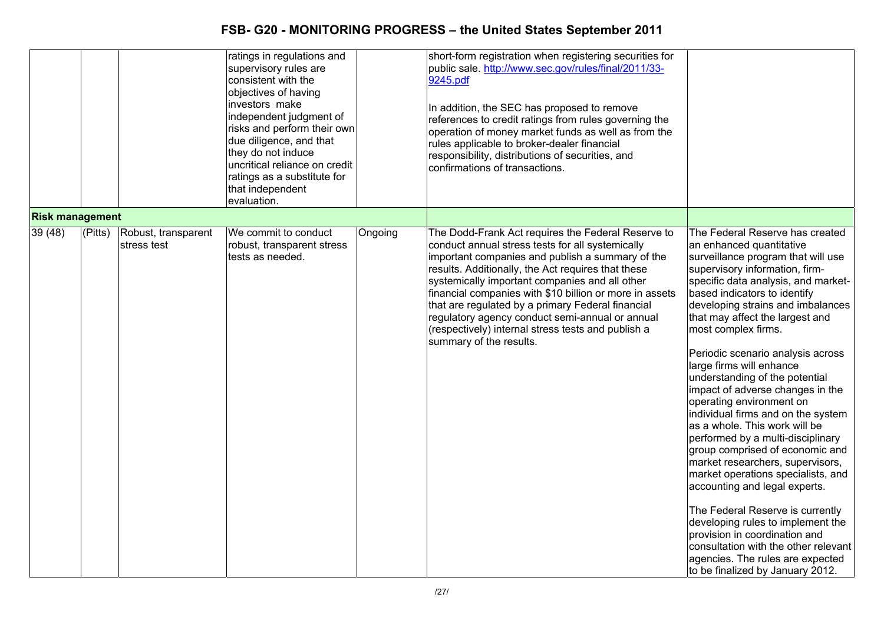|                        |         |                                    | ratings in regulations and<br>supervisory rules are<br>consistent with the<br>objectives of having<br>investors make<br>independent judgment of<br>risks and perform their own<br>due diligence, and that<br>they do not induce<br>uncritical reliance on credit<br>ratings as a substitute for<br>that independent<br>evaluation. |         | short-form registration when registering securities for<br>public sale. http://www.sec.gov/rules/final/2011/33-<br>9245.pdf<br>In addition, the SEC has proposed to remove<br>references to credit ratings from rules governing the<br>operation of money market funds as well as from the<br>rules applicable to broker-dealer financial<br>responsibility, distributions of securities, and<br>confirmations of transactions.                                                                                        |                                                                                                                                                                                                                                                                                                                                                                                                                                                                                                                                                                                                                                                                                                                                                                                                                                                                                                                                                                  |
|------------------------|---------|------------------------------------|------------------------------------------------------------------------------------------------------------------------------------------------------------------------------------------------------------------------------------------------------------------------------------------------------------------------------------|---------|------------------------------------------------------------------------------------------------------------------------------------------------------------------------------------------------------------------------------------------------------------------------------------------------------------------------------------------------------------------------------------------------------------------------------------------------------------------------------------------------------------------------|------------------------------------------------------------------------------------------------------------------------------------------------------------------------------------------------------------------------------------------------------------------------------------------------------------------------------------------------------------------------------------------------------------------------------------------------------------------------------------------------------------------------------------------------------------------------------------------------------------------------------------------------------------------------------------------------------------------------------------------------------------------------------------------------------------------------------------------------------------------------------------------------------------------------------------------------------------------|
| <b>Risk management</b> |         |                                    |                                                                                                                                                                                                                                                                                                                                    |         |                                                                                                                                                                                                                                                                                                                                                                                                                                                                                                                        |                                                                                                                                                                                                                                                                                                                                                                                                                                                                                                                                                                                                                                                                                                                                                                                                                                                                                                                                                                  |
| 39 (48)                | (Pitts) | Robust, transparent<br>stress test | We commit to conduct<br>robust, transparent stress<br>tests as needed.                                                                                                                                                                                                                                                             | Ongoing | The Dodd-Frank Act requires the Federal Reserve to<br>conduct annual stress tests for all systemically<br>important companies and publish a summary of the<br>results. Additionally, the Act requires that these<br>systemically important companies and all other<br>financial companies with \$10 billion or more in assets<br>that are regulated by a primary Federal financial<br>regulatory agency conduct semi-annual or annual<br>(respectively) internal stress tests and publish a<br>summary of the results. | The Federal Reserve has created<br>an enhanced quantitative<br>surveillance program that will use<br>supervisory information, firm-<br>specific data analysis, and market-<br>based indicators to identify<br>developing strains and imbalances<br>that may affect the largest and<br>most complex firms.<br>Periodic scenario analysis across<br>large firms will enhance<br>understanding of the potential<br>impact of adverse changes in the<br>operating environment on<br>individual firms and on the system<br>as a whole. This work will be<br>performed by a multi-disciplinary<br>group comprised of economic and<br>market researchers, supervisors,<br>market operations specialists, and<br>accounting and legal experts.<br>The Federal Reserve is currently<br>developing rules to implement the<br>provision in coordination and<br>consultation with the other relevant<br>agencies. The rules are expected<br>to be finalized by January 2012. |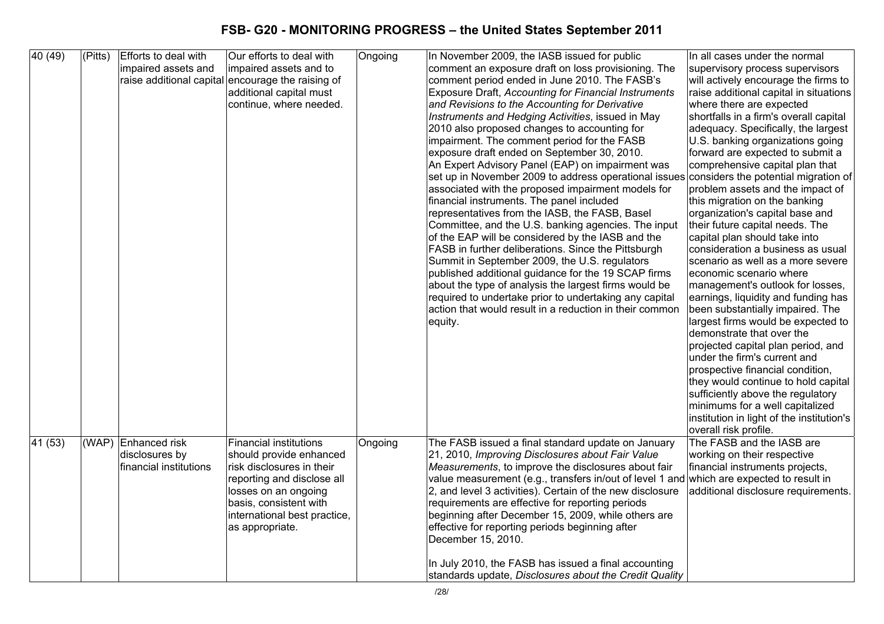| $\sqrt{40}$ (49) | $\sqrt{\text{(Pitts)}}$ | Efforts to deal with   | Our efforts to deal with                          | Ongoing | In November 2009, the IASB issued for public                                                                    | In all cases under the normal                                           |
|------------------|-------------------------|------------------------|---------------------------------------------------|---------|-----------------------------------------------------------------------------------------------------------------|-------------------------------------------------------------------------|
|                  |                         | impaired assets and    | impaired assets and to                            |         | comment an exposure draft on loss provisioning. The                                                             | supervisory process supervisors                                         |
|                  |                         |                        | raise additional capital encourage the raising of |         | comment period ended in June 2010. The FASB's                                                                   | will actively encourage the firms to                                    |
|                  |                         |                        | additional capital must                           |         | Exposure Draft, Accounting for Financial Instruments                                                            | raise additional capital in situations                                  |
|                  |                         |                        | continue, where needed.                           |         | and Revisions to the Accounting for Derivative                                                                  | where there are expected                                                |
|                  |                         |                        |                                                   |         | Instruments and Hedging Activities, issued in May                                                               | shortfalls in a firm's overall capital                                  |
|                  |                         |                        |                                                   |         | 2010 also proposed changes to accounting for                                                                    | adequacy. Specifically, the largest                                     |
|                  |                         |                        |                                                   |         | impairment. The comment period for the FASB                                                                     | U.S. banking organizations going                                        |
|                  |                         |                        |                                                   |         | exposure draft ended on September 30, 2010.                                                                     | forward are expected to submit a                                        |
|                  |                         |                        |                                                   |         | An Expert Advisory Panel (EAP) on impairment was                                                                | comprehensive capital plan that                                         |
|                  |                         |                        |                                                   |         | set up in November 2009 to address operational issues considers the potential migration of                      |                                                                         |
|                  |                         |                        |                                                   |         | associated with the proposed impairment models for                                                              | problem assets and the impact of                                        |
|                  |                         |                        |                                                   |         | financial instruments. The panel included                                                                       | this migration on the banking                                           |
|                  |                         |                        |                                                   |         | representatives from the IASB, the FASB, Basel                                                                  | organization's capital base and                                         |
|                  |                         |                        |                                                   |         | Committee, and the U.S. banking agencies. The input                                                             | their future capital needs. The                                         |
|                  |                         |                        |                                                   |         | of the EAP will be considered by the IASB and the                                                               | capital plan should take into                                           |
|                  |                         |                        |                                                   |         | FASB in further deliberations. Since the Pittsburgh                                                             | consideration a business as usual                                       |
|                  |                         |                        |                                                   |         | Summit in September 2009, the U.S. regulators                                                                   | scenario as well as a more severe                                       |
|                  |                         |                        |                                                   |         | published additional guidance for the 19 SCAP firms                                                             | economic scenario where                                                 |
|                  |                         |                        |                                                   |         | about the type of analysis the largest firms would be<br>required to undertake prior to undertaking any capital | management's outlook for losses,                                        |
|                  |                         |                        |                                                   |         | action that would result in a reduction in their common                                                         | earnings, liquidity and funding has<br>been substantially impaired. The |
|                  |                         |                        |                                                   |         | equity.                                                                                                         | largest firms would be expected to                                      |
|                  |                         |                        |                                                   |         |                                                                                                                 | demonstrate that over the                                               |
|                  |                         |                        |                                                   |         |                                                                                                                 | projected capital plan period, and                                      |
|                  |                         |                        |                                                   |         |                                                                                                                 | under the firm's current and                                            |
|                  |                         |                        |                                                   |         |                                                                                                                 | prospective financial condition,                                        |
|                  |                         |                        |                                                   |         |                                                                                                                 | they would continue to hold capital                                     |
|                  |                         |                        |                                                   |         |                                                                                                                 | sufficiently above the regulatory                                       |
|                  |                         |                        |                                                   |         |                                                                                                                 | minimums for a well capitalized                                         |
|                  |                         |                        |                                                   |         |                                                                                                                 | institution in light of the institution's                               |
|                  |                         |                        |                                                   |         |                                                                                                                 | overall risk profile.                                                   |
| 41 (53)          |                         | (WAP) Enhanced risk    | <b>Financial institutions</b>                     | Ongoing | The FASB issued a final standard update on January                                                              | The FASB and the IASB are                                               |
|                  |                         | disclosures by         | should provide enhanced                           |         | 21, 2010, Improving Disclosures about Fair Value                                                                | working on their respective                                             |
|                  |                         | financial institutions | risk disclosures in their                         |         | Measurements, to improve the disclosures about fair                                                             | financial instruments projects,                                         |
|                  |                         |                        | reporting and disclose all                        |         | value measurement (e.g., transfers in/out of level 1 and which are expected to result in                        |                                                                         |
|                  |                         |                        | losses on an ongoing                              |         | 2, and level 3 activities). Certain of the new disclosure                                                       | additional disclosure requirements.                                     |
|                  |                         |                        | basis, consistent with                            |         | requirements are effective for reporting periods                                                                |                                                                         |
|                  |                         |                        | international best practice,                      |         | beginning after December 15, 2009, while others are                                                             |                                                                         |
|                  |                         |                        | as appropriate.                                   |         | effective for reporting periods beginning after                                                                 |                                                                         |
|                  |                         |                        |                                                   |         | December 15, 2010.                                                                                              |                                                                         |
|                  |                         |                        |                                                   |         |                                                                                                                 |                                                                         |
|                  |                         |                        |                                                   |         | In July 2010, the FASB has issued a final accounting                                                            |                                                                         |
|                  |                         |                        |                                                   |         | standards update, Disclosures about the Credit Quality                                                          |                                                                         |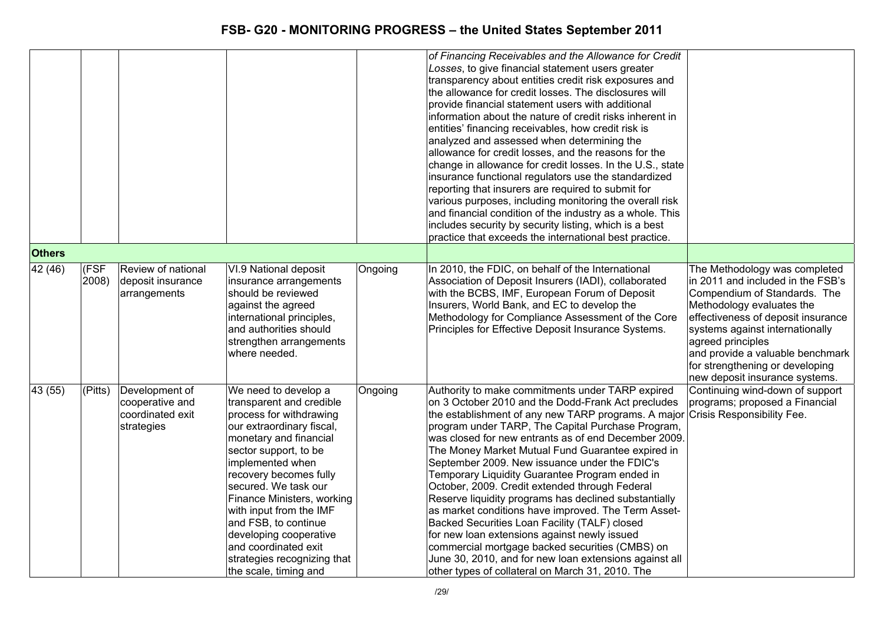|               |               |                                                                     |                                                                                                                                                                                                                                                                                                                                                                                                                              |         | of Financing Receivables and the Allowance for Credit<br>Losses, to give financial statement users greater<br>transparency about entities credit risk exposures and<br>the allowance for credit losses. The disclosures will<br>provide financial statement users with additional<br>information about the nature of credit risks inherent in<br>entities' financing receivables, how credit risk is<br>analyzed and assessed when determining the<br>allowance for credit losses, and the reasons for the<br>change in allowance for credit losses. In the U.S., state<br>insurance functional regulators use the standardized<br>reporting that insurers are required to submit for<br>various purposes, including monitoring the overall risk<br>and financial condition of the industry as a whole. This<br>includes security by security listing, which is a best<br>practice that exceeds the international best practice. |                                                                                                                                                                                                                                                                                                                                        |
|---------------|---------------|---------------------------------------------------------------------|------------------------------------------------------------------------------------------------------------------------------------------------------------------------------------------------------------------------------------------------------------------------------------------------------------------------------------------------------------------------------------------------------------------------------|---------|----------------------------------------------------------------------------------------------------------------------------------------------------------------------------------------------------------------------------------------------------------------------------------------------------------------------------------------------------------------------------------------------------------------------------------------------------------------------------------------------------------------------------------------------------------------------------------------------------------------------------------------------------------------------------------------------------------------------------------------------------------------------------------------------------------------------------------------------------------------------------------------------------------------------------------|----------------------------------------------------------------------------------------------------------------------------------------------------------------------------------------------------------------------------------------------------------------------------------------------------------------------------------------|
| <b>Others</b> |               |                                                                     |                                                                                                                                                                                                                                                                                                                                                                                                                              |         |                                                                                                                                                                                                                                                                                                                                                                                                                                                                                                                                                                                                                                                                                                                                                                                                                                                                                                                                  |                                                                                                                                                                                                                                                                                                                                        |
| 42 (46)       | (FSF<br>2008) | Review of national<br>deposit insurance<br>arrangements             | VI.9 National deposit<br>insurance arrangements<br>should be reviewed<br>against the agreed<br>international principles,<br>and authorities should<br>strengthen arrangements<br>where needed.                                                                                                                                                                                                                               | Ongoing | In 2010, the FDIC, on behalf of the International<br>Association of Deposit Insurers (IADI), collaborated<br>with the BCBS, IMF, European Forum of Deposit<br>Insurers, World Bank, and EC to develop the<br>Methodology for Compliance Assessment of the Core<br>Principles for Effective Deposit Insurance Systems.                                                                                                                                                                                                                                                                                                                                                                                                                                                                                                                                                                                                            | The Methodology was completed<br>in 2011 and included in the FSB's<br>Compendium of Standards. The<br>Methodology evaluates the<br>effectiveness of deposit insurance<br>systems against internationally<br>agreed principles<br>and provide a valuable benchmark<br>for strengthening or developing<br>new deposit insurance systems. |
| 43(55)        | (Pitts)       | Development of<br>cooperative and<br>coordinated exit<br>strategies | We need to develop a<br>transparent and credible<br>process for withdrawing<br>our extraordinary fiscal,<br>monetary and financial<br>sector support, to be<br>implemented when<br>recovery becomes fully<br>secured. We task our<br>Finance Ministers, working<br>with input from the IMF<br>and FSB, to continue<br>developing cooperative<br>and coordinated exit<br>strategies recognizing that<br>the scale, timing and | Ongoing | Authority to make commitments under TARP expired<br>on 3 October 2010 and the Dodd-Frank Act precludes<br>the establishment of any new TARP programs. A major<br>program under TARP, The Capital Purchase Program,<br>was closed for new entrants as of end December 2009.<br>The Money Market Mutual Fund Guarantee expired in<br>September 2009. New issuance under the FDIC's<br>Temporary Liquidity Guarantee Program ended in<br>October, 2009. Credit extended through Federal<br>Reserve liquidity programs has declined substantially<br>as market conditions have improved. The Term Asset-<br>Backed Securities Loan Facility (TALF) closed<br>for new loan extensions against newly issued<br>commercial mortgage backed securities (CMBS) on<br>June 30, 2010, and for new loan extensions against all<br>other types of collateral on March 31, 2010. The                                                           | Continuing wind-down of support<br>programs; proposed a Financial<br>Crisis Responsibility Fee.                                                                                                                                                                                                                                        |